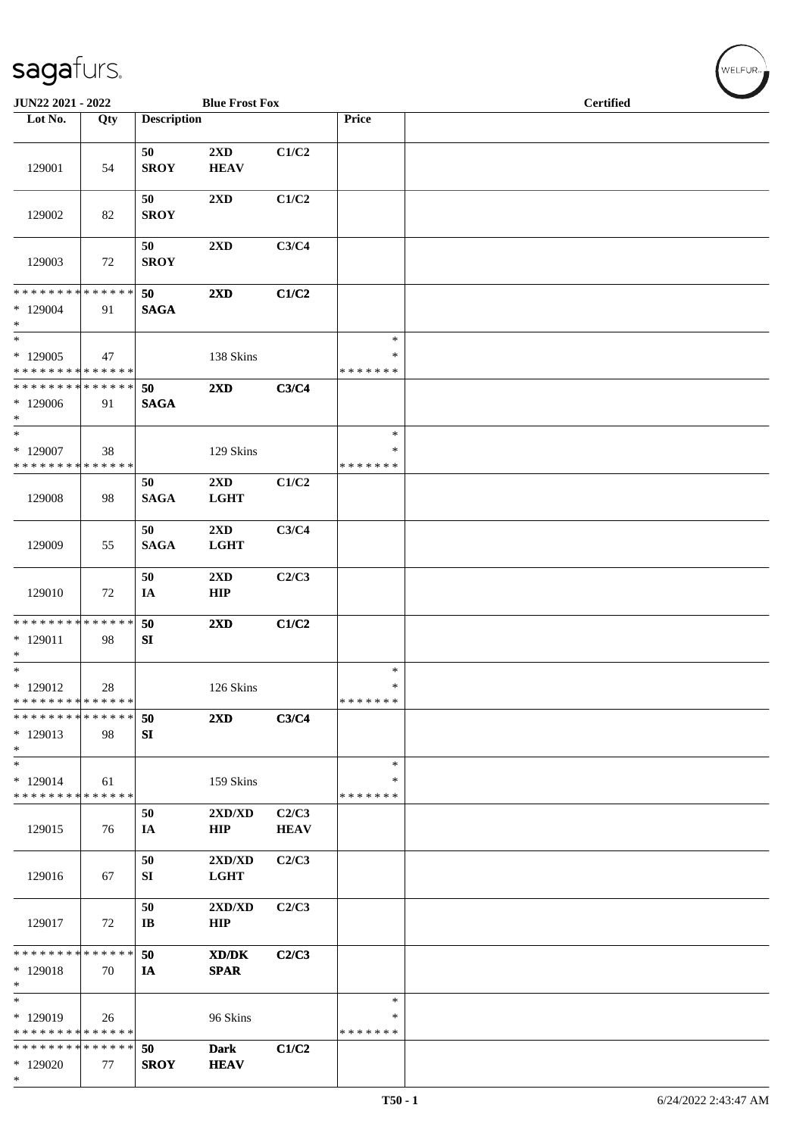| JUN22 2021 - 2022                                             |     |                             | <b>Blue Frost Fox</b>                          |                      |                                   | <b>Certified</b> |
|---------------------------------------------------------------|-----|-----------------------------|------------------------------------------------|----------------------|-----------------------------------|------------------|
| Lot No.                                                       | Qty | <b>Description</b>          |                                                |                      | Price                             |                  |
| 129001                                                        | 54  | 50<br><b>SROY</b>           | 2XD<br><b>HEAV</b>                             | C1/C2                |                                   |                  |
| 129002                                                        | 82  | 50<br><b>SROY</b>           | $2{\bf X}{\bf D}$                              | C1/C2                |                                   |                  |
| 129003                                                        | 72  | 50<br><b>SROY</b>           | 2XD                                            | C3/C4                |                                   |                  |
| * * * * * * * * * * * * * *<br>$*129004$<br>$*$               | 91  | 50<br><b>SAGA</b>           | 2XD                                            | C1/C2                |                                   |                  |
| $\overline{\ast}$<br>$*129005$<br>* * * * * * * * * * * * * * | 47  |                             | 138 Skins                                      |                      | $\ast$<br>$\ast$<br>* * * * * * * |                  |
| * * * * * * * * * * * * * *<br>$*129006$<br>$*$               | 91  | 50<br><b>SAGA</b>           | 2XD                                            | C3/C4                |                                   |                  |
| $\ast$<br>$*129007$<br>* * * * * * * * * * * * * *            | 38  |                             | 129 Skins                                      |                      | $\ast$<br>∗<br>* * * * * * *      |                  |
| 129008                                                        | 98  | 50<br><b>SAGA</b>           | 2XD<br><b>LGHT</b>                             | C1/C2                |                                   |                  |
| 129009                                                        | 55  | 50<br><b>SAGA</b>           | 2XD<br><b>LGHT</b>                             | C3/C4                |                                   |                  |
| 129010                                                        | 72  | 50<br>IA                    | $2\mathbf{X}\mathbf{D}$<br>HIP                 | C2/C3                |                                   |                  |
| * * * * * * * * * * * * * *<br>$* 129011$<br>$*$              | 98  | 50<br>SI                    | $2\mathbf{X}\mathbf{D}$                        | C1/C2                |                                   |                  |
| $\ast$<br>$*129012$<br>* * * * * * * * * * * * * * *          | 28  |                             | 126 Skins                                      |                      | $\ast$<br>$\ast$<br>* * * * * * * |                  |
| * * * * * * * * * * * * * * *<br>* 129013<br>$*$              | 98  | 50<br>SI                    | $2\mathbf{X}\mathbf{D}$                        | C3/C4                |                                   |                  |
| $*$<br>* 129014<br>* * * * * * * * * * * * * *                | 61  |                             | 159 Skins                                      |                      | $\ast$<br>∗<br>* * * * * * *      |                  |
| 129015                                                        | 76  | 50<br>IA                    | $2{\bf X}{\bf D}/{\bf X}{\bf D}$<br><b>HIP</b> | C2/C3<br><b>HEAV</b> |                                   |                  |
| 129016                                                        | 67  | 50<br>SI                    | 2XD/XD<br><b>LGHT</b>                          | C2/C3                |                                   |                  |
| 129017                                                        | 72  | 50<br>$\mathbf{I}$ <b>B</b> | 2XD/XD<br><b>HIP</b>                           | C2/C3                |                                   |                  |
| * * * * * * * * * * * * * *<br>* 129018<br>$*$                | 70  | 50<br>IA                    | XD/DK<br><b>SPAR</b>                           | C2/C3                |                                   |                  |
| $*$<br>* 129019<br>* * * * * * * * * * * * * *                | 26  |                             | 96 Skins                                       |                      | $\ast$<br>∗<br>* * * * * * *      |                  |
| * * * * * * * * * * * * * * *<br>* 129020<br>$\ast$           | 77  | 50<br><b>SROY</b>           | <b>Dark</b><br><b>HEAV</b>                     | C1/C2                |                                   |                  |

WELFUR<sub>"</sub>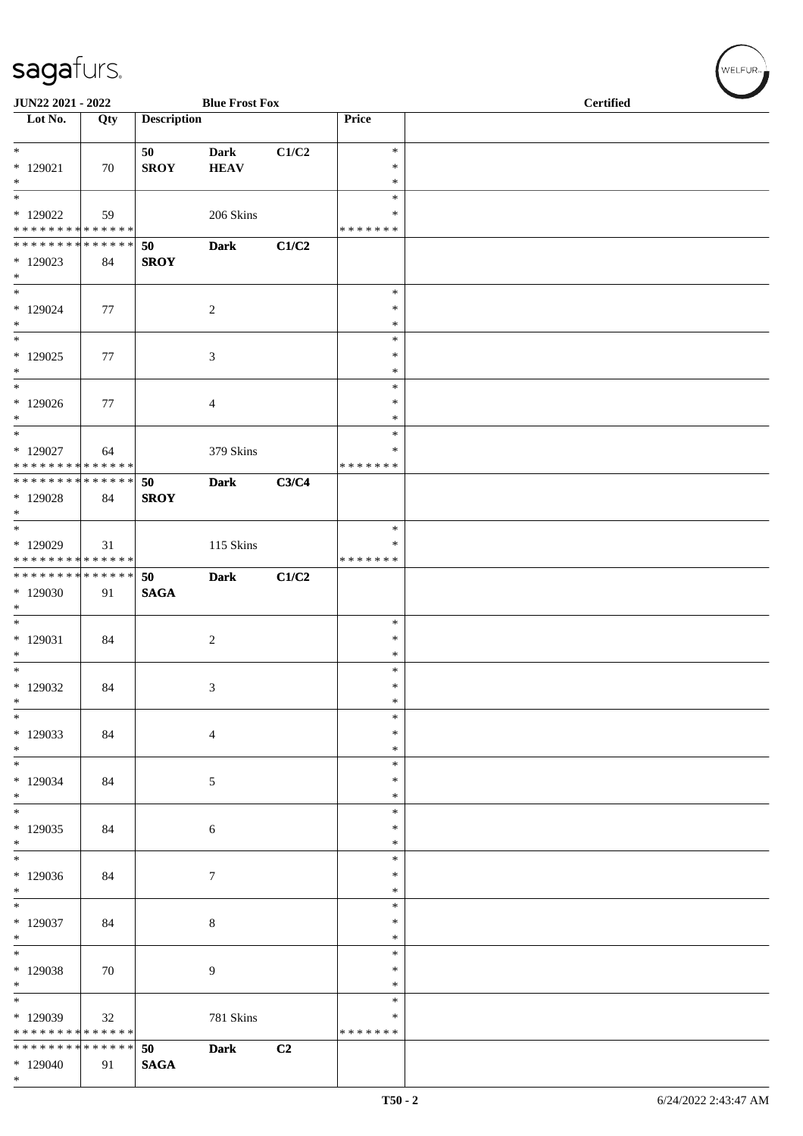| JUN22 2021 - 2022                                                                       |     |                    | <b>Blue Frost Fox</b>      |       | <b>Certified</b>                     |  |  |  |
|-----------------------------------------------------------------------------------------|-----|--------------------|----------------------------|-------|--------------------------------------|--|--|--|
| Lot No.                                                                                 | Qty | <b>Description</b> |                            |       | Price                                |  |  |  |
| $*129021$<br>$*$                                                                        | 70  | 50<br><b>SROY</b>  | <b>Dark</b><br><b>HEAV</b> | C1/C2 | $\ast$<br>$\ast$<br>$\ast$           |  |  |  |
| $\overline{\ast}$<br>* 129022<br>* * * * * * * * <mark>* * * * * * *</mark>             | 59  |                    | 206 Skins                  |       | $\ast$<br>$\ast$<br>* * * * * * *    |  |  |  |
| * * * * * * * * * * * * * * *<br>$*129023$<br>$*$                                       | 84  | 50<br><b>SROY</b>  | <b>Dark</b>                | C1/C2 |                                      |  |  |  |
| $*$<br>$*129024$<br>$*$<br>$\overline{\phantom{0}}$                                     | 77  |                    | 2                          |       | $\ast$<br>$\ast$<br>$\ast$<br>$\ast$ |  |  |  |
| $*129025$<br>$\ast$<br>$\overline{\ast}$                                                | 77  |                    | 3                          |       | $\ast$<br>$\ast$<br>$\ast$           |  |  |  |
| $*129026$<br>$*$<br>$*$                                                                 | 77  |                    | 4                          |       | $\ast$<br>*<br>$\ast$                |  |  |  |
| $*129027$<br>* * * * * * * * <mark>* * * * * * *</mark><br>******** <mark>******</mark> | 64  | 50                 | 379 Skins<br><b>Dark</b>   | C3/C4 | ∗<br>* * * * * * *                   |  |  |  |
| * 129028<br>$*$<br>$*$                                                                  | 84  | <b>SROY</b>        |                            |       | $\ast$                               |  |  |  |
| $*129029$<br>* * * * * * * * * * * * * *<br>******** <mark>******</mark>                | 31  | 50                 | 115 Skins<br><b>Dark</b>   | C1/C2 | $\ast$<br>* * * * * * *              |  |  |  |
| * 129030<br>$*$<br>$*$                                                                  | 91  | <b>SAGA</b>        |                            |       | $\ast$                               |  |  |  |
| $*129031$<br>$*$                                                                        | 84  |                    | $\sqrt{2}$                 |       | $\ast$<br>$\ast$<br>$\ast$           |  |  |  |
| $*129032$<br>$\ast$<br>$\frac{1}{1}$                                                    | 84  |                    | 3                          |       | $\ast$<br>$\ast$<br>$\ast$           |  |  |  |
| * 129033<br>$*$<br>$*$                                                                  | 84  |                    | $\overline{4}$             |       | $\ast$<br>$\ast$<br>$\ast$           |  |  |  |
| $*129034$<br>$*$<br>$*$                                                                 | 84  |                    | $\sqrt{5}$                 |       | $\ast$<br>$\ast$<br>$\ast$           |  |  |  |
| $*129035$<br>$\ast$<br>$\overline{\ast}$                                                | 84  |                    | 6                          |       | $\ast$<br>$\ast$<br>$\ast$           |  |  |  |
| * 129036<br>$\ast$                                                                      | 84  |                    | $\boldsymbol{7}$           |       | ∗<br>$\ast$<br>$\ast$                |  |  |  |
| $*129037$<br>$*$<br>$\overline{\phantom{0}}$                                            | 84  |                    | $\,8\,$                    |       | $\ast$<br>$\ast$                     |  |  |  |
| * 129038<br>$*$                                                                         | 70  |                    | $\overline{9}$             |       | $\ast$<br>$\ast$<br>$\ast$           |  |  |  |
| * 129039<br>* * * * * * * * * * * * * *                                                 | 32  |                    | 781 Skins                  |       | $\ast$<br>∗<br>* * * * * * *         |  |  |  |
| * * * * * * * * * * * * * * *<br>* 129040<br>$\ast$                                     | 91  | 50<br><b>SAGA</b>  | <b>Dark</b>                | C2    |                                      |  |  |  |

 $(\forall ELFUR_{\text{max}})$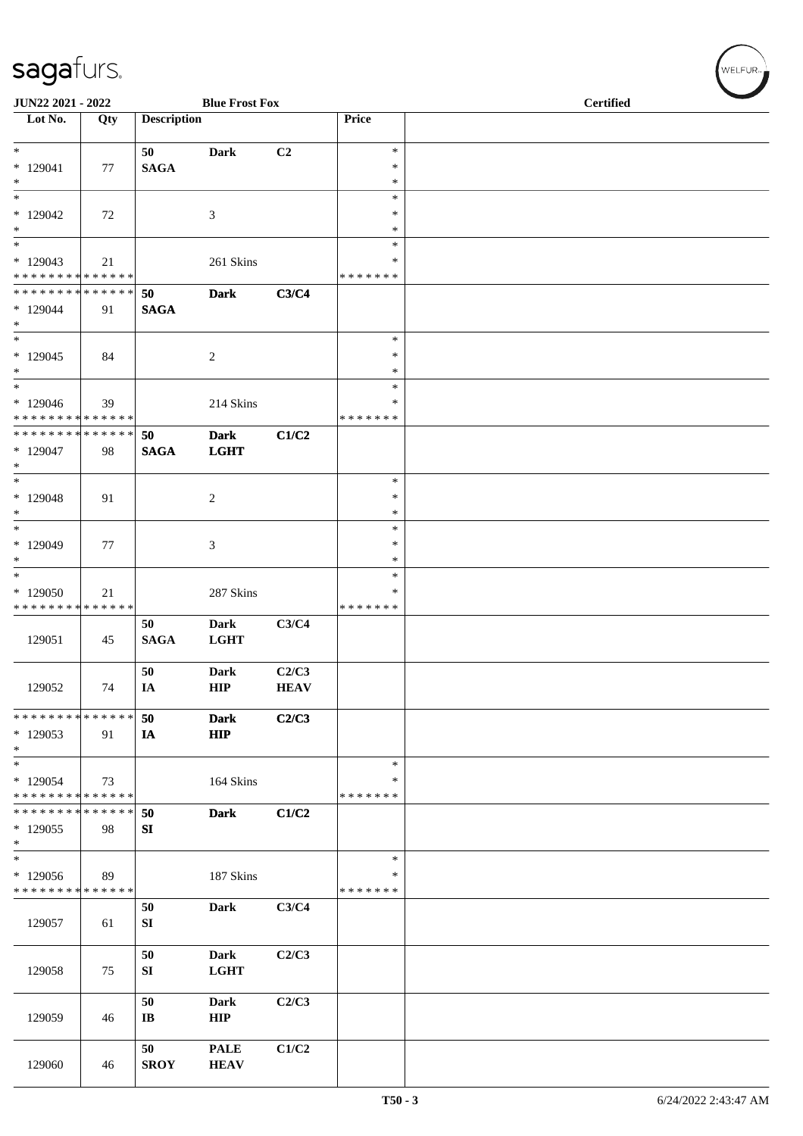| JUN22 2021 - 2022<br><b>Blue Frost Fox</b>                             |     |                              |                            |                      |                                   | <b>Certified</b> |  |  |
|------------------------------------------------------------------------|-----|------------------------------|----------------------------|----------------------|-----------------------------------|------------------|--|--|
| $\overline{\phantom{1}}$ Lot No.                                       | Qty | <b>Description</b>           |                            |                      | Price                             |                  |  |  |
| $\overline{\phantom{0}}$<br>$*129041$<br>$\ast$                        | 77  | 50<br><b>SAGA</b>            | <b>Dark</b>                | C2                   | $\ast$<br>$\ast$<br>$\ast$        |                  |  |  |
| $\ast$<br>$*129042$<br>$\ast$                                          | 72  |                              | $\mathfrak{Z}$             |                      | $\ast$<br>$\ast$<br>$\ast$        |                  |  |  |
| $\ast$<br>$*129043$<br>* * * * * * * * * * * * * *                     | 21  |                              | 261 Skins                  |                      | $\ast$<br>$\ast$<br>* * * * * * * |                  |  |  |
| * * * * * * * * * * * * * *<br>* 129044<br>$*$                         | 91  | 50<br><b>SAGA</b>            | <b>Dark</b>                | C3/C4                |                                   |                  |  |  |
| $\overline{\ast}$<br>$*129045$<br>$\ast$                               | 84  |                              | $\sqrt{2}$                 |                      | $\ast$<br>$\ast$<br>$\ast$        |                  |  |  |
| $\ast$<br>* 129046<br>* * * * * * * * * * * * * *                      | 39  |                              | 214 Skins                  |                      | $\ast$<br>*<br>* * * * * * *      |                  |  |  |
| * * * * * * * * * * * * * *<br>* 129047<br>$*$                         | 98  | 50<br><b>SAGA</b>            | <b>Dark</b><br><b>LGHT</b> | C1/C2                |                                   |                  |  |  |
| $\overline{\ast}$<br>$*129048$<br>$*$                                  | 91  |                              | $\sqrt{2}$                 |                      | $\ast$<br>$\ast$<br>$\ast$        |                  |  |  |
| $\ast$<br>$*129049$<br>$*$                                             | 77  |                              | 3                          |                      | $\ast$<br>$\ast$<br>$\ast$        |                  |  |  |
| $\ast$<br>* 129050<br>* * * * * * * * * * * * * *                      | 21  |                              | 287 Skins                  |                      | $\ast$<br>∗<br>* * * * * * *      |                  |  |  |
| 129051                                                                 | 45  | 50<br><b>SAGA</b>            | <b>Dark</b><br><b>LGHT</b> | C3/C4                |                                   |                  |  |  |
| 129052                                                                 | 74  | 50<br>IA                     | Dark<br>HIP                | C2/C3<br><b>HEAV</b> |                                   |                  |  |  |
| * * * * * * * * * * * * * *<br>$*129053$<br>$*$                        | 91  | 50<br>IA                     | <b>Dark</b><br><b>HIP</b>  | C2/C3                |                                   |                  |  |  |
| $\overline{\phantom{a}^*}$<br>$*129054$<br>* * * * * * * * * * * * * * | 73  |                              | 164 Skins                  |                      | $\ast$<br>∗<br>* * * * * * *      |                  |  |  |
| * * * * * * * * * * * * * *<br>$*129055$<br>$*$                        | 98  | 50<br>SI                     | <b>Dark</b>                | C1/C2                |                                   |                  |  |  |
| $\ast$<br>* 129056<br>* * * * * * * * * * * * * *                      | 89  |                              | 187 Skins                  |                      | $\ast$<br>∗<br>* * * * * * *      |                  |  |  |
| 129057                                                                 | 61  | 50<br>${\bf S}{\bf I}$       | Dark                       | C3/C4                |                                   |                  |  |  |
| 129058                                                                 | 75  | 50<br>SI                     | Dark<br><b>LGHT</b>        | C2/C3                |                                   |                  |  |  |
| 129059                                                                 | 46  | 50<br>$\mathbf{I}\mathbf{B}$ | <b>Dark</b><br><b>HIP</b>  | C2/C3                |                                   |                  |  |  |
| 129060                                                                 | 46  | 50<br><b>SROY</b>            | <b>PALE</b><br><b>HEAV</b> | C1/C2                |                                   |                  |  |  |

WELFUR<sub>\*</sub>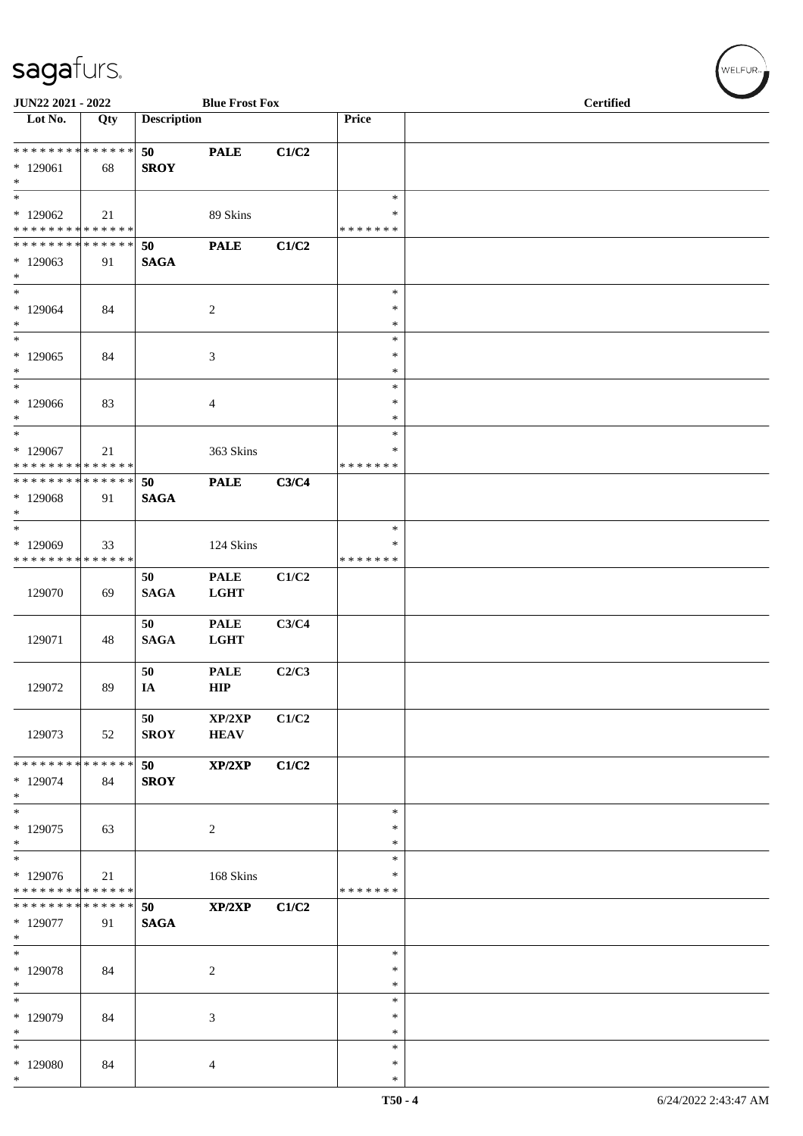| JUN22 2021 - 2022                                                        |     |                    | <b>Blue Frost Fox</b>      |       |                                 | <b>Certified</b> |
|--------------------------------------------------------------------------|-----|--------------------|----------------------------|-------|---------------------------------|------------------|
| Lot No.                                                                  | Qty | <b>Description</b> |                            |       | Price                           |                  |
| ******** <mark>******</mark><br>* 129061<br>$*$                          | 68  | 50<br><b>SROY</b>  | <b>PALE</b>                | C1/C2 |                                 |                  |
| $\overline{\ast}$<br>$*129062$<br>* * * * * * * * * * * * * *            | 21  |                    | 89 Skins                   |       | $\ast$<br>∗<br>* * * * * * *    |                  |
| * * * * * * * * * * * * * *<br>$*129063$<br>$*$                          | 91  | 50<br><b>SAGA</b>  | <b>PALE</b>                | C1/C2 |                                 |                  |
| $*$<br>$*129064$<br>$\ast$<br>$*$                                        | 84  |                    | $\overline{c}$             |       | $\ast$<br>$\ast$<br>$\ast$      |                  |
| $*129065$<br>$*$<br>$\ast$                                               | 84  |                    | 3                          |       | $\ast$<br>$\ast$<br>∗<br>$\ast$ |                  |
| $*129066$<br>$*$<br>$\ast$                                               | 83  |                    | 4                          |       | $\ast$<br>$\ast$<br>$\ast$      |                  |
| * 129067<br>* * * * * * * * * * * * * *<br>* * * * * * * * * * * * * * * | 21  |                    | 363 Skins                  |       | ∗<br>* * * * * * *              |                  |
| * 129068<br>$*$<br>$\ast$                                                | 91  | 50<br><b>SAGA</b>  | <b>PALE</b>                | C3/C4 |                                 |                  |
| * 129069<br>* * * * * * * * * * * * * *                                  | 33  |                    | 124 Skins                  |       | $\ast$<br>∗<br>* * * * * * *    |                  |
| 129070                                                                   | 69  | 50<br><b>SAGA</b>  | <b>PALE</b><br><b>LGHT</b> | C1/C2 |                                 |                  |
| 129071                                                                   | 48  | 50<br><b>SAGA</b>  | <b>PALE</b><br><b>LGHT</b> | C3/C4 |                                 |                  |
| 129072                                                                   | 89  | 50<br>IA           | <b>PALE</b><br><b>HIP</b>  | C2/C3 |                                 |                  |
| 129073                                                                   | 52  | 50<br><b>SROY</b>  | XP/2XP<br><b>HEAV</b>      | C1/C2 |                                 |                  |
| * * * * * * * * * * * * * * *<br>* 129074<br>$*$                         | 84  | 50<br><b>SROY</b>  | XP/2XP                     | C1/C2 |                                 |                  |
| $*$<br>$*129075$<br>$*$                                                  | 63  |                    | $\sqrt{2}$                 |       | $\ast$<br>$\ast$<br>$\ast$      |                  |
| $*$<br>$*129076$<br>* * * * * * * * * * * * * *                          | 21  |                    | 168 Skins                  |       | $\ast$<br>∗<br>* * * * * * *    |                  |
| * * * * * * * * * * * * * * *<br>* 129077<br>$*$                         | 91  | 50<br><b>SAGA</b>  | XP/2XP                     | C1/C2 |                                 |                  |
| $*$<br>* 129078<br>$*$                                                   | 84  |                    | $\overline{c}$             |       | $\ast$<br>$\ast$<br>$\ast$      |                  |
| $\ast$<br>* 129079<br>$\ast$                                             | 84  |                    | 3                          |       | $\ast$<br>∗<br>$\ast$           |                  |
| $\ast$<br>* 129080<br>$*$                                                | 84  |                    | 4                          |       | $\ast$<br>$\ast$<br>∗           |                  |

WELFUR<sub><sup>N</sub></sub></sub></sup>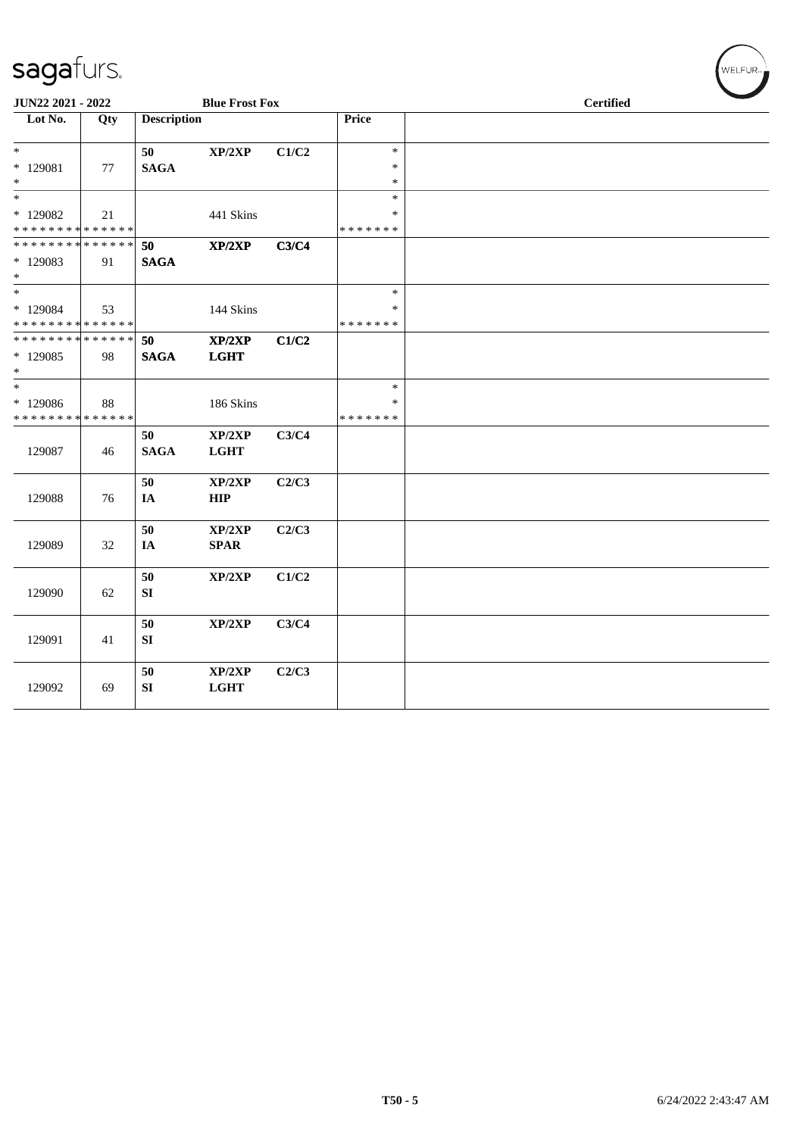| <b>JUN22 2021 - 2022</b>                             |     |                    | <b>Blue Frost Fox</b>      |       |                                   |  | <b>Certified</b> |  |  |
|------------------------------------------------------|-----|--------------------|----------------------------|-------|-----------------------------------|--|------------------|--|--|
| Lot No.                                              | Qty | <b>Description</b> |                            |       | Price                             |  |                  |  |  |
| $*$<br>* 129081<br>$*$                               | 77  | 50<br><b>SAGA</b>  | $\mathbf{XP}/2\mathbf{XP}$ | C1/C2 | $\ast$<br>$\ast$<br>*             |  |                  |  |  |
| $*$<br>* 129082<br>* * * * * * * * * * * * * *       | 21  |                    | 441 Skins                  |       | $\ast$<br>*<br>* * * * * * *      |  |                  |  |  |
| * * * * * * * * * * * * * * *<br>* 129083<br>$*$     | 91  | 50<br><b>SAGA</b>  | XP/2XP                     | C3/C4 |                                   |  |                  |  |  |
| $*$<br>* 129084<br>* * * * * * * * * * * * * *       | 53  |                    | 144 Skins                  |       | $\ast$<br>*<br>* * * * * * *      |  |                  |  |  |
| * * * * * * * * * * * * * * *<br>$*129085$<br>$\ast$ | 98  | 50<br><b>SAGA</b>  | XP/2XP<br><b>LGHT</b>      | C1/C2 |                                   |  |                  |  |  |
| $*$<br>* 129086<br>* * * * * * * * * * * * * *       | 88  |                    | 186 Skins                  |       | $\ast$<br>$\ast$<br>* * * * * * * |  |                  |  |  |
| 129087                                               | 46  | 50<br><b>SAGA</b>  | XP/2XP<br><b>LGHT</b>      | C3/C4 |                                   |  |                  |  |  |
| 129088                                               | 76  | 50<br>IA           | XP/2XP<br>HIP              | C2/C3 |                                   |  |                  |  |  |
| 129089                                               | 32  | 50<br>IA           | XP/2XP<br><b>SPAR</b>      | C2/C3 |                                   |  |                  |  |  |
| 129090                                               | 62  | 50<br>${\bf SI}$   | XP/2XP                     | C1/C2 |                                   |  |                  |  |  |
| 129091                                               | 41  | 50<br>SI           | XP/2XP                     | C3/C4 |                                   |  |                  |  |  |
| 129092                                               | 69  | 50<br>SI           | XP/2XP<br><b>LGHT</b>      | C2/C3 |                                   |  |                  |  |  |

WELFUR<sub>\*</sub>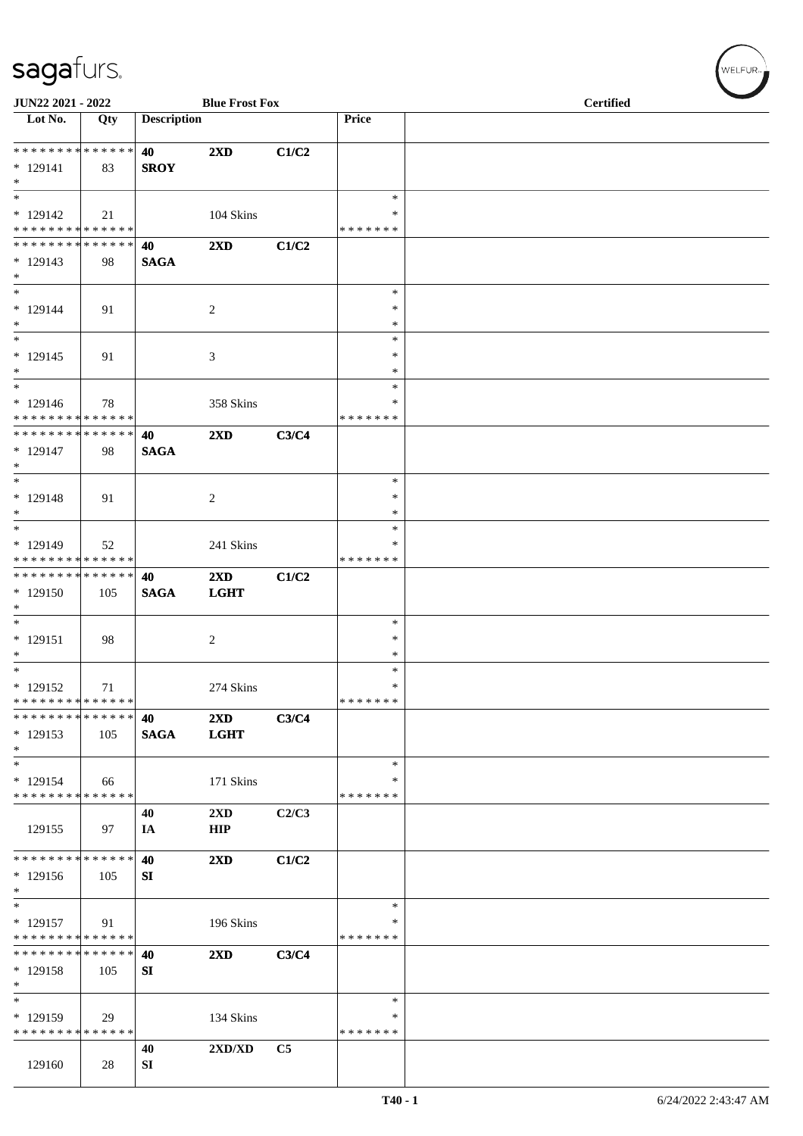| JUN22 2021 - 2022                |             |                    | <b>Blue Frost Fox</b>   |       |                  | <b>Certified</b> |  |  |  |
|----------------------------------|-------------|--------------------|-------------------------|-------|------------------|------------------|--|--|--|
| $\overline{\phantom{1}}$ Lot No. | Qty         | <b>Description</b> |                         |       | Price            |                  |  |  |  |
| **************                   |             | 40                 | 2XD                     | C1/C2 |                  |                  |  |  |  |
| $* 129141$                       | 83          | <b>SROY</b>        |                         |       |                  |                  |  |  |  |
| $\ast$                           |             |                    |                         |       |                  |                  |  |  |  |
| $\overline{\phantom{1}}$         |             |                    |                         |       | $\ast$           |                  |  |  |  |
| $* 129142$                       | 21          |                    | 104 Skins               |       | $\ast$           |                  |  |  |  |
| * * * * * * * * * * * * * *      |             |                    |                         |       | * * * * * * *    |                  |  |  |  |
| * * * * * * * * * * * * * *      |             | 40                 | 2XD                     | C1/C2 |                  |                  |  |  |  |
| $* 129143$<br>$*$                | 98          | <b>SAGA</b>        |                         |       |                  |                  |  |  |  |
| $\ast$                           |             |                    |                         |       | $\ast$           |                  |  |  |  |
| $* 129144$                       | 91          |                    | $\boldsymbol{2}$        |       | $\ast$           |                  |  |  |  |
| $\ast$                           |             |                    |                         |       | $\ast$           |                  |  |  |  |
| $_{\ast}^{-}$                    |             |                    |                         |       | $\ast$           |                  |  |  |  |
| $* 129145$                       | 91          |                    | 3                       |       | $\ast$           |                  |  |  |  |
| $\ast$                           |             |                    |                         |       | $\ast$           |                  |  |  |  |
| $\ast$                           |             |                    |                         |       | $\ast$           |                  |  |  |  |
| $* 129146$                       | 78          |                    | 358 Skins               |       | *                |                  |  |  |  |
| * * * * * * * * * * * * * *      |             |                    |                         |       | * * * * * * *    |                  |  |  |  |
| **************                   |             | 40                 | 2XD                     | C3/C4 |                  |                  |  |  |  |
| $* 129147$<br>$*$                | 98          | <b>SAGA</b>        |                         |       |                  |                  |  |  |  |
| $\ast$                           |             |                    |                         |       | $\ast$           |                  |  |  |  |
| $* 129148$                       | 91          |                    | $\boldsymbol{2}$        |       | $\ast$           |                  |  |  |  |
| $*$                              |             |                    |                         |       | $\ast$           |                  |  |  |  |
| $\ast$                           |             |                    |                         |       | $\ast$           |                  |  |  |  |
| * 129149                         | 52          |                    | 241 Skins               |       | *                |                  |  |  |  |
| ******** <mark>******</mark>     |             |                    |                         |       | * * * * * * *    |                  |  |  |  |
| **************                   |             | 40                 | 2XD                     | C1/C2 |                  |                  |  |  |  |
| $*129150$                        | 105         | <b>SAGA</b>        | <b>LGHT</b>             |       |                  |                  |  |  |  |
| $\ast$                           |             |                    |                         |       |                  |                  |  |  |  |
| $\ast$                           |             |                    |                         |       | $\ast$           |                  |  |  |  |
| $* 129151$<br>$\ast$             | 98          |                    | $\overline{c}$          |       | $\ast$<br>$\ast$ |                  |  |  |  |
| $\overline{\phantom{a}^*}$       |             |                    |                         |       | $\ast$           |                  |  |  |  |
| * 129152                         | 71          |                    | 274 Skins               |       | $\ast$           |                  |  |  |  |
| * * * * * * * * * * * * * *      |             |                    |                         |       | * * * * * * *    |                  |  |  |  |
| * * * * * * * *                  | * * * * * * | 40                 | 2XD                     | C3/C4 |                  |                  |  |  |  |
| $*129153$                        | 105         | <b>SAGA</b>        | <b>LGHT</b>             |       |                  |                  |  |  |  |
| $\ast$                           |             |                    |                         |       |                  |                  |  |  |  |
| $\ast$                           |             |                    |                         |       | $\ast$           |                  |  |  |  |
| $* 129154$                       | 66          |                    | 171 Skins               |       | ∗                |                  |  |  |  |
| * * * * * * * * * * * * * *      |             |                    |                         |       | * * * * * * *    |                  |  |  |  |
|                                  | 97          | 40                 | $2\mathbf{X}\mathbf{D}$ | C2/C3 |                  |                  |  |  |  |
| 129155                           |             | IA                 | <b>HIP</b>              |       |                  |                  |  |  |  |
| * * * * * * * * * * * * * *      |             | 40                 | $2\mathbf{X}\mathbf{D}$ | C1/C2 |                  |                  |  |  |  |
| $*129156$                        | 105         | SI                 |                         |       |                  |                  |  |  |  |
| $\ast$                           |             |                    |                         |       |                  |                  |  |  |  |
| $\ast$                           |             |                    |                         |       | $\ast$           |                  |  |  |  |
| $* 129157$                       | 91          |                    | 196 Skins               |       | *                |                  |  |  |  |
| * * * * * * * * * * * * * *      |             |                    |                         |       | * * * * * * *    |                  |  |  |  |
| * * * * * * * * * * * * * * *    |             | 40                 | $2\mathbf{X}\mathbf{D}$ | C3/C4 |                  |                  |  |  |  |
| $*129158$<br>$\ast$              | 105         | <b>SI</b>          |                         |       |                  |                  |  |  |  |
| $_{\ast}^{-}$                    |             |                    |                         |       | $\ast$           |                  |  |  |  |
| * 129159                         | 29          |                    | 134 Skins               |       | *                |                  |  |  |  |
| * * * * * * * * * * * * * *      |             |                    |                         |       | * * * * * * *    |                  |  |  |  |
|                                  |             | 40                 | 2XD/XD                  | C5    |                  |                  |  |  |  |
| 129160                           | 28          | SI                 |                         |       |                  |                  |  |  |  |

 $(w$ ELFUR<sub>m</sub>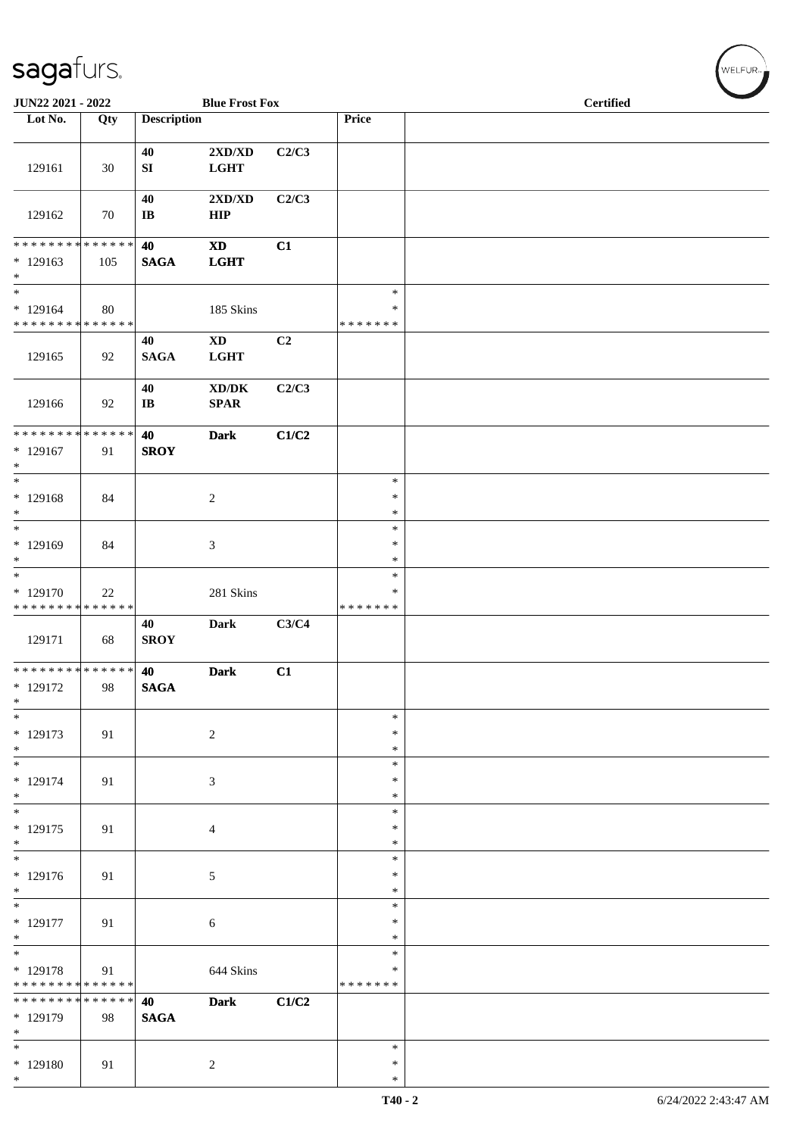| JUN22 2021 - 2022                                                     |     |                              | <b>Blue Frost Fox</b>                              |       |                              | Certified |  |  |  |  |
|-----------------------------------------------------------------------|-----|------------------------------|----------------------------------------------------|-------|------------------------------|-----------|--|--|--|--|
| Lot No.                                                               | Qty | <b>Description</b>           |                                                    |       | Price                        |           |  |  |  |  |
| 129161                                                                | 30  | 40<br>${\bf S}{\bf I}$       | $2{\bf X}{\bf D}/{\bf X}{\bf D}$<br><b>LGHT</b>    | C2/C3 |                              |           |  |  |  |  |
| 129162                                                                | 70  | 40<br>$\bf I\bf B$           | $2{\bf X}{\bf D}/{\bf X}{\bf D}$<br>HIP            | C2/C3 |                              |           |  |  |  |  |
| ******** <mark>******</mark><br>$*129163$<br>$\ast$                   | 105 | 40<br><b>SAGA</b>            | $\mathbf{X}\mathbf{D}$<br><b>LGHT</b>              | C1    |                              |           |  |  |  |  |
| $\frac{1}{*}$<br>$*129164$<br>* * * * * * * * * * * * * *             | 80  |                              | 185 Skins                                          |       | $\ast$<br>∗<br>* * * * * * * |           |  |  |  |  |
| 129165                                                                | 92  | 40<br><b>SAGA</b>            | $\mathbf{X}\mathbf{D}$<br>LGHT                     | C2    |                              |           |  |  |  |  |
| 129166                                                                | 92  | 40<br>$\mathbf{I}\mathbf{B}$ | $\bold{X}\bold{D}/\bold{D}\bold{K}$<br><b>SPAR</b> | C2/C3 |                              |           |  |  |  |  |
| * * * * * * * * * * * * * * *<br>$*129167$<br>$\ast$                  | 91  | 40<br><b>SROY</b>            | <b>Dark</b>                                        | C1/C2 |                              |           |  |  |  |  |
| $_{\ast}$<br>$*129168$<br>$\ast$                                      | 84  |                              | $\sqrt{2}$                                         |       | $\ast$<br>$\ast$<br>$\ast$   |           |  |  |  |  |
| $\ast$<br>$*129169$<br>$\ast$                                         | 84  |                              | $\mathfrak{Z}$                                     |       | $\ast$<br>$\ast$<br>$\ast$   |           |  |  |  |  |
| $\overline{\phantom{a}^*}$<br>* 129170<br>* * * * * * * * * * * * * * | 22  |                              | 281 Skins                                          |       | $\ast$<br>*<br>* * * * * * * |           |  |  |  |  |
| 129171                                                                | 68  | 40<br><b>SROY</b>            | Dark                                               | C3/C4 |                              |           |  |  |  |  |
| ******** <mark>******</mark><br>$* 129172$<br>$\ast$                  | 98  | 40<br><b>SAGA</b>            | <b>Dark</b>                                        | C1    |                              |           |  |  |  |  |
| $\ast$<br>$* 129173$<br>$*$                                           | 91  |                              | $\sqrt{2}$                                         |       | $\ast$<br>∗<br>*             |           |  |  |  |  |
| $\overline{\phantom{0}}$<br>$* 129174$<br>$*$                         | 91  |                              | $\mathfrak{Z}$                                     |       | $\ast$<br>$\ast$<br>$\ast$   |           |  |  |  |  |
| $\ast$<br>$* 129175$<br>$*$                                           | 91  |                              | 4                                                  |       | $\ast$<br>$\ast$<br>$\ast$   |           |  |  |  |  |
| $\overline{\phantom{a}^*}$<br>$* 129176$<br>$\ast$                    | 91  |                              | 5                                                  |       | $\ast$<br>$\ast$<br>*        |           |  |  |  |  |
| $\overline{\phantom{a}^*}$<br>$* 129177$<br>$\ast$                    | 91  |                              | $\sqrt{6}$                                         |       | $\ast$<br>∗<br>$\ast$        |           |  |  |  |  |
| $\ast$<br>* 129178<br>* * * * * * * * * * * * * *                     | 91  |                              | 644 Skins                                          |       | $\ast$<br>*<br>* * * * * * * |           |  |  |  |  |
| * * * * * * * * * * * * * * *<br>* 129179<br>$\ast$                   | 98  | 40<br><b>SAGA</b>            | <b>Dark</b>                                        | C1/C2 |                              |           |  |  |  |  |
| $\overline{\phantom{a}^*}$<br>$*129180$<br>$*$                        | 91  |                              | $\overline{c}$                                     |       | $\ast$<br>∗<br>$\ast$        |           |  |  |  |  |

 $w$ ELFUR<sub><sup>n</sub></sub></sub></sup>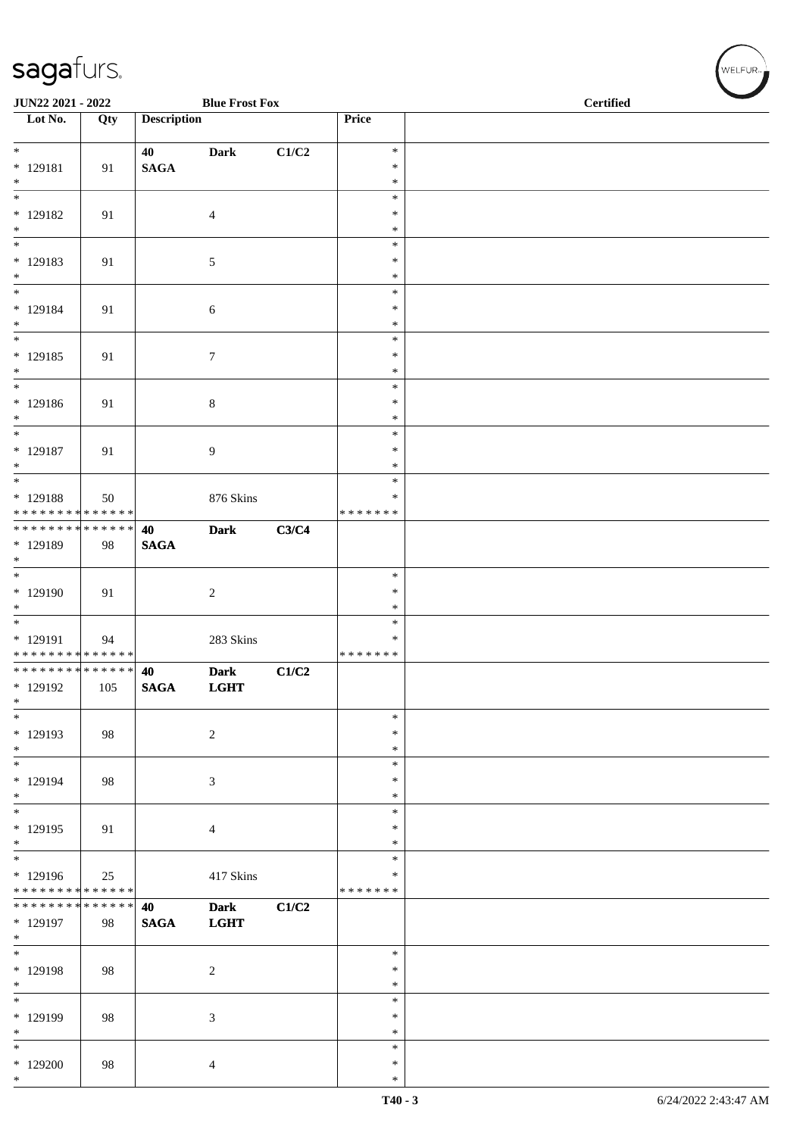| <b>JUN22 2021 - 2022</b>                        |     |                    | <b>Blue Frost Fox</b> |       |                  | <b>Certified</b> |
|-------------------------------------------------|-----|--------------------|-----------------------|-------|------------------|------------------|
| Lot No.                                         | Qty | <b>Description</b> |                       |       | Price            |                  |
| $*$                                             |     | 40                 | <b>Dark</b>           | C1/C2 | $\ast$           |                  |
| * 129181                                        | 91  | <b>SAGA</b>        |                       |       | $\ast$           |                  |
| $*$<br>$\overline{\phantom{0}}$                 |     |                    |                       |       | $\ast$<br>$\ast$ |                  |
| * 129182                                        | 91  |                    | $\overline{4}$        |       | $\ast$           |                  |
| $*$                                             |     |                    |                       |       | $\ast$           |                  |
|                                                 |     |                    |                       |       | $\ast$           |                  |
| * 129183                                        | 91  |                    | $\mathfrak{S}$        |       | $\ast$           |                  |
| $*$<br>$*$                                      |     |                    |                       |       | $\ast$           |                  |
| * 129184                                        | 91  |                    | $\boldsymbol{6}$      |       | $\ast$<br>$\ast$ |                  |
| $*$                                             |     |                    |                       |       | $\ast$           |                  |
| $\overline{\ }$                                 |     |                    |                       |       | $\ast$           |                  |
| * 129185                                        | 91  |                    | $\boldsymbol{7}$      |       | $\ast$           |                  |
| $*$<br>$\ddot{x}$                               |     |                    |                       |       | $\ast$<br>$\ast$ |                  |
| * 129186                                        | 91  |                    | $\,8\,$               |       | $\ast$           |                  |
| $*$                                             |     |                    |                       |       | $\ast$           |                  |
| $*$                                             |     |                    |                       |       | $\ast$           |                  |
| * 129187                                        | 91  |                    | $\overline{9}$        |       | $\ast$           |                  |
| $*$                                             |     |                    |                       |       | $\ast$<br>$\ast$ |                  |
| * 129188                                        | 50  |                    | 876 Skins             |       | $\ast$           |                  |
| * * * * * * * * <mark>* * * * * * *</mark>      |     |                    |                       |       | *******          |                  |
|                                                 |     | 40                 | <b>Dark</b>           | C3/C4 |                  |                  |
| * 129189                                        | 98  | <b>SAGA</b>        |                       |       |                  |                  |
| $*$<br>$*$                                      |     |                    |                       |       | $\ast$           |                  |
| * 129190                                        | 91  |                    | $\overline{2}$        |       | $\ast$           |                  |
| $*$                                             |     |                    |                       |       | $\ast$           |                  |
|                                                 |     |                    |                       |       | $\ast$           |                  |
| * 129191                                        | 94  |                    | 283 Skins             |       | $\ast$           |                  |
| * * * * * * * * * * * * * * *<br>************** |     | 40                 | <b>Dark</b>           |       | *******          |                  |
| * 129192                                        | 105 | <b>SAGA</b>        | <b>LGHT</b>           | C1/C2 |                  |                  |
| $\ast$                                          |     |                    |                       |       |                  |                  |
| $*$                                             |     |                    |                       |       | $\ast$           |                  |
| * 129193                                        | 98  |                    | 2                     |       | $\ast$           |                  |
| $*$<br>$*$                                      |     |                    |                       |       | $\ast$<br>$\ast$ |                  |
| * 129194                                        | 98  |                    | 3                     |       | $\ast$           |                  |
| $*$                                             |     |                    |                       |       | $\ast$           |                  |
|                                                 |     |                    |                       |       | $\ast$           |                  |
| * 129195<br>$*$                                 | 91  |                    | $\overline{4}$        |       | $\ast$<br>$\ast$ |                  |
| $\overline{\phantom{0}}$                        |     |                    |                       |       | $\ast$           |                  |
| * 129196                                        | 25  |                    | 417 Skins             |       | $\ast$           |                  |
| * * * * * * * * <mark>* * * * * * *</mark>      |     |                    |                       |       | *******          |                  |
| * * * * * * * * <mark>* * * * * * *</mark>      |     | 40                 | <b>Dark</b>           | C1/C2 |                  |                  |
| * 129197<br>$*$                                 | 98  | <b>SAGA</b>        | <b>LGHT</b>           |       |                  |                  |
| $*$                                             |     |                    |                       |       | $\ast$           |                  |
| * 129198                                        | 98  |                    | $\overline{2}$        |       | $\ast$           |                  |
| $*$                                             |     |                    |                       |       | $\ast$           |                  |
| $\overline{\phantom{0}}$                        |     |                    |                       |       | $\ast$           |                  |
| * 129199<br>$*$                                 | 98  |                    | 3                     |       | $\ast$<br>$\ast$ |                  |
| $*$                                             |     |                    |                       |       | $\ast$           |                  |
| $*129200$                                       | 98  |                    | $\overline{4}$        |       | $\ast$           |                  |
| $\ast$                                          |     |                    |                       |       | $\ast$           |                  |

WELFUR<sub><sup>N</sup></sub>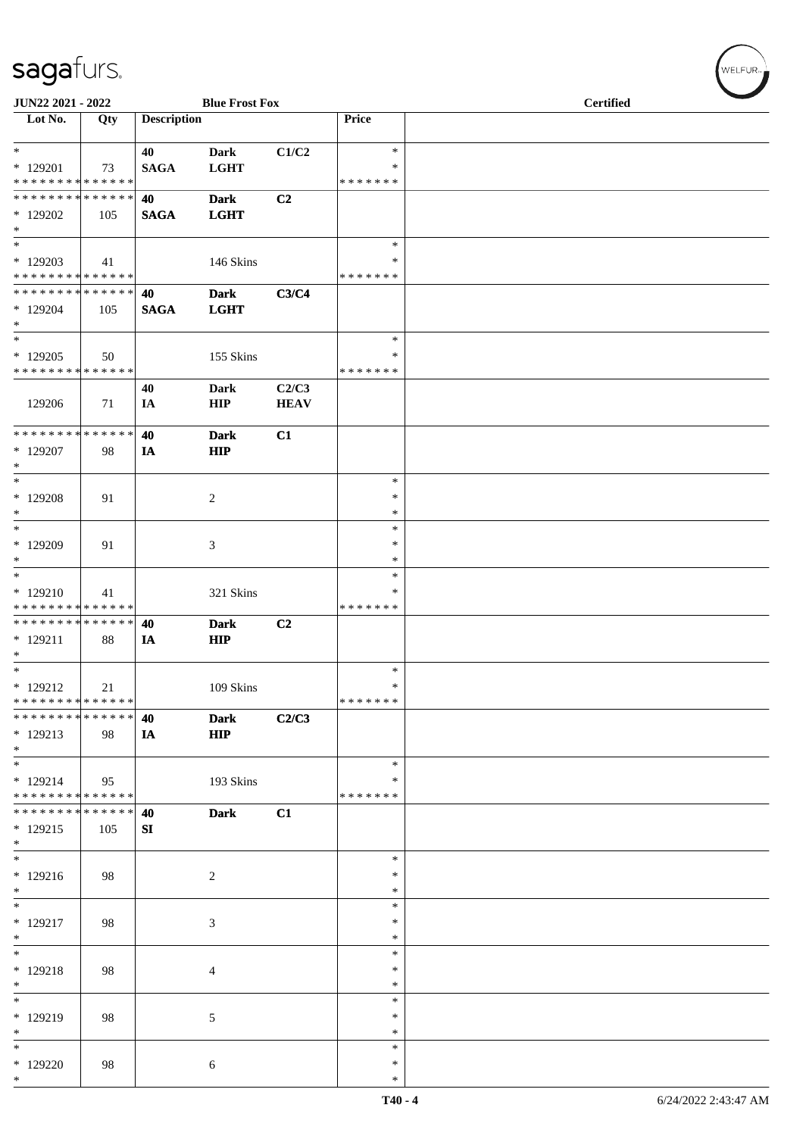| JUN22 2021 - 2022                                                |     |                    | <b>Blue Frost Fox</b>       |                      |                                   | <b>Certified</b> |  |
|------------------------------------------------------------------|-----|--------------------|-----------------------------|----------------------|-----------------------------------|------------------|--|
| Lot No.                                                          | Qty | <b>Description</b> |                             |                      | Price                             |                  |  |
| $\ast$<br>$*129201$<br>* * * * * * * * * * * * * *               | 73  | 40<br><b>SAGA</b>  | <b>Dark</b><br><b>LGHT</b>  | C1/C2                | $\ast$<br>$\ast$<br>* * * * * * * |                  |  |
| * * * * * * * * * * * * * *<br>* 129202<br>$\ast$                | 105 | 40<br><b>SAGA</b>  | <b>Dark</b><br><b>LGHT</b>  | C2                   |                                   |                  |  |
| $\ast$<br>$*129203$<br>******** <mark>******</mark>              | 41  |                    | 146 Skins                   |                      | $\ast$<br>$\ast$<br>* * * * * * * |                  |  |
| ******** <mark>******</mark><br>* 129204<br>$\ast$               | 105 | 40<br><b>SAGA</b>  | <b>Dark</b><br><b>LGHT</b>  | C3/C4                |                                   |                  |  |
| $\ast$<br>$*129205$<br>* * * * * * * * * * * * * *               | 50  |                    | 155 Skins                   |                      | $\ast$<br>$\ast$<br>* * * * * * * |                  |  |
| 129206                                                           | 71  | 40<br>IA           | <b>Dark</b><br>HIP          | C2/C3<br><b>HEAV</b> |                                   |                  |  |
| * * * * * * * * * * * * * *<br>* 129207<br>$\ast$                | 98  | 40<br>IA           | <b>Dark</b><br><b>HIP</b>   | C1                   |                                   |                  |  |
| $\ast$<br>* 129208<br>$\ast$                                     | 91  |                    | $\overline{c}$              |                      | $\ast$<br>$\ast$<br>$\ast$        |                  |  |
| $\ast$<br>* 129209<br>$\ast$                                     | 91  |                    | $\ensuremath{\mathfrak{Z}}$ |                      | $\ast$<br>$\ast$<br>$\ast$        |                  |  |
| $\ast$<br>$*129210$<br>* * * * * * * * * * * * * *               | 41  |                    | 321 Skins                   |                      | $\ast$<br>∗<br>* * * * * * *      |                  |  |
| **************<br>$* 129211$<br>$\ast$                           | 88  | 40<br>IA           | <b>Dark</b><br><b>HIP</b>   | C <sub>2</sub>       |                                   |                  |  |
| $\ast$<br>$* 129212$<br>* * * * * * * * * * * * * *              | 21  |                    | 109 Skins                   |                      | $\ast$<br>$\ast$<br>*******       |                  |  |
| * * * * * * * * * * * * * *<br>$*129213$<br>$*$<br>$\frac{1}{1}$ | 98  | 40<br>IA           | <b>Dark</b><br><b>HIP</b>   | C2/C3                |                                   |                  |  |
| $* 129214$<br>* * * * * * * * <mark>* * * * * * *</mark>         | 95  |                    | 193 Skins                   |                      | $\ast$<br>$\ast$<br>* * * * * * * |                  |  |
| * * * * * * * * * * * * * *<br>$*129215$<br>$*$                  | 105 | 40<br>SI           | <b>Dark</b>                 | C1                   |                                   |                  |  |
| $\ast$<br>$*129216$<br>$*$<br>$\overline{\phantom{0}}$           | 98  |                    | $\overline{2}$              |                      | $\ast$<br>$\ast$<br>∗             |                  |  |
| $* 129217$<br>$\ast$                                             | 98  |                    | 3                           |                      | $\ast$<br>$\ast$<br>$\ast$        |                  |  |
| $\ast$<br>$* 129218$<br>$\ast$                                   | 98  |                    | 4                           |                      | $\ast$<br>$\ast$<br>$\ast$        |                  |  |
| $_{\ast}^{-}$<br>* 129219<br>$\ast$                              | 98  |                    | $\mathfrak{S}$              |                      | $\ast$<br>$\ast$<br>$\ast$        |                  |  |
| $\overline{\phantom{a}}$<br>$*129220$<br>$*$                     | 98  |                    | 6                           |                      | $\ast$<br>$\ast$<br>$\ast$        |                  |  |

WELFUR<sub>\*</sub>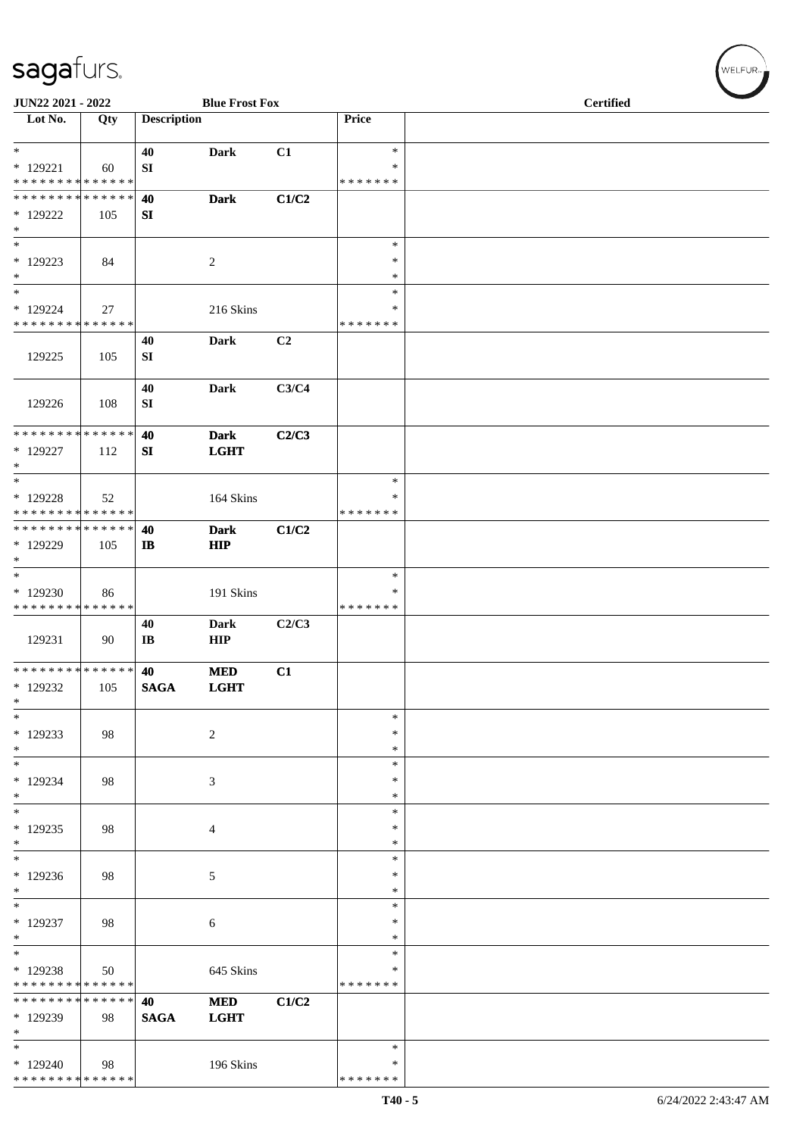| JUN22 2021 - 2022                       |     |                    | <b>Blue Frost Fox</b> |       |                  | <b>Certified</b> |
|-----------------------------------------|-----|--------------------|-----------------------|-------|------------------|------------------|
| Lot No.                                 | Qty | <b>Description</b> |                       |       | Price            |                  |
| $\ast$<br>$*129221$                     | 60  | 40<br>SI           | <b>Dark</b>           | C1    | $\ast$<br>$\ast$ |                  |
| * * * * * * * * * * * * * *             |     |                    |                       |       | * * * * * * *    |                  |
| **************                          |     | 40                 | <b>Dark</b>           | C1/C2 |                  |                  |
| $*129222$<br>$\ast$                     | 105 | SI                 |                       |       |                  |                  |
| $\ast$                                  |     |                    |                       |       | $\ast$           |                  |
| $*129223$                               | 84  |                    | $\sqrt{2}$            |       | $\ast$           |                  |
| $\ast$                                  |     |                    |                       |       | $\ast$           |                  |
| $\ast$<br>* 129224                      |     |                    |                       |       | $\ast$<br>$\ast$ |                  |
| * * * * * * * * * * * * * *             | 27  |                    | 216 Skins             |       | * * * * * * *    |                  |
|                                         |     | 40                 | <b>Dark</b>           | C2    |                  |                  |
| 129225                                  | 105 | SI                 |                       |       |                  |                  |
| 129226                                  | 108 | 40<br>SI           | <b>Dark</b>           | C3/C4 |                  |                  |
|                                         |     |                    |                       |       |                  |                  |
| ******** <mark>******</mark>            |     | 40                 | <b>Dark</b>           | C2/C3 |                  |                  |
| * 129227                                | 112 | SI                 | <b>LGHT</b>           |       |                  |                  |
| $\ast$<br>$\ast$                        |     |                    |                       |       |                  |                  |
| $*129228$                               |     |                    |                       |       | $\ast$<br>∗      |                  |
| **************                          | 52  |                    | 164 Skins             |       | * * * * * * *    |                  |
| **************                          |     | 40                 | <b>Dark</b>           | C1/C2 |                  |                  |
| * 129229                                | 105 | IB                 | <b>HIP</b>            |       |                  |                  |
| $\ast$                                  |     |                    |                       |       |                  |                  |
| $\ast$                                  |     |                    |                       |       | $\ast$           |                  |
| * 129230                                | 86  |                    | 191 Skins             |       | $\ast$           |                  |
| **************                          |     | 40                 | <b>Dark</b>           | C2/C3 | * * * * * * *    |                  |
| 129231                                  | 90  | IB                 | <b>HIP</b>            |       |                  |                  |
| ******** <mark>******</mark>            |     | 40                 | <b>MED</b>            | C1    |                  |                  |
| * 129232                                | 105 | $\mathbf{SAGA}$    | <b>LGHT</b>           |       |                  |                  |
| $\ast$                                  |     |                    |                       |       |                  |                  |
| $\ast$<br>$*129233$                     |     |                    |                       |       | $\ast$<br>$\ast$ |                  |
| $\ast$                                  | 98  |                    | $\sqrt{2}$            |       | $\ast$           |                  |
| $\ast$                                  |     |                    |                       |       | $\ast$           |                  |
| $*129234$                               | 98  |                    | $\mathfrak{Z}$        |       | ∗                |                  |
| $\ast$                                  |     |                    |                       |       | $\ast$           |                  |
| $\ast$                                  |     |                    |                       |       | $\ast$           |                  |
| $*129235$                               | 98  |                    | 4                     |       | $\ast$           |                  |
| $\ast$<br>$\ast$                        |     |                    |                       |       | $\ast$<br>$\ast$ |                  |
| * 129236                                | 98  |                    | $\mathfrak{S}$        |       | $\ast$           |                  |
| $\ast$                                  |     |                    |                       |       | $\ast$           |                  |
| $\ast$                                  |     |                    |                       |       | $\ast$           |                  |
| * 129237                                | 98  |                    | $\sqrt{6}$            |       | $\ast$           |                  |
| $\ast$<br>$\overline{\phantom{a}^*}$    |     |                    |                       |       | $\ast$           |                  |
|                                         |     |                    |                       |       | $\ast$<br>∗      |                  |
| * 129238<br>* * * * * * * * * * * * * * | 50  |                    | 645 Skins             |       | * * * * * * *    |                  |
| * * * * * * * * * * * * * *             |     | 40                 | <b>MED</b>            | C1/C2 |                  |                  |
| * 129239                                | 98  | <b>SAGA</b>        | <b>LGHT</b>           |       |                  |                  |
| $\ast$                                  |     |                    |                       |       |                  |                  |
| $\overline{\ast}$                       |     |                    |                       |       | $\ast$           |                  |
| $*129240$                               | 98  |                    | 196 Skins             |       | ∗                |                  |
| **************                          |     |                    |                       |       | * * * * * * *    |                  |

 $\left(\bigvee_{w \in \text{LFUR}_n}$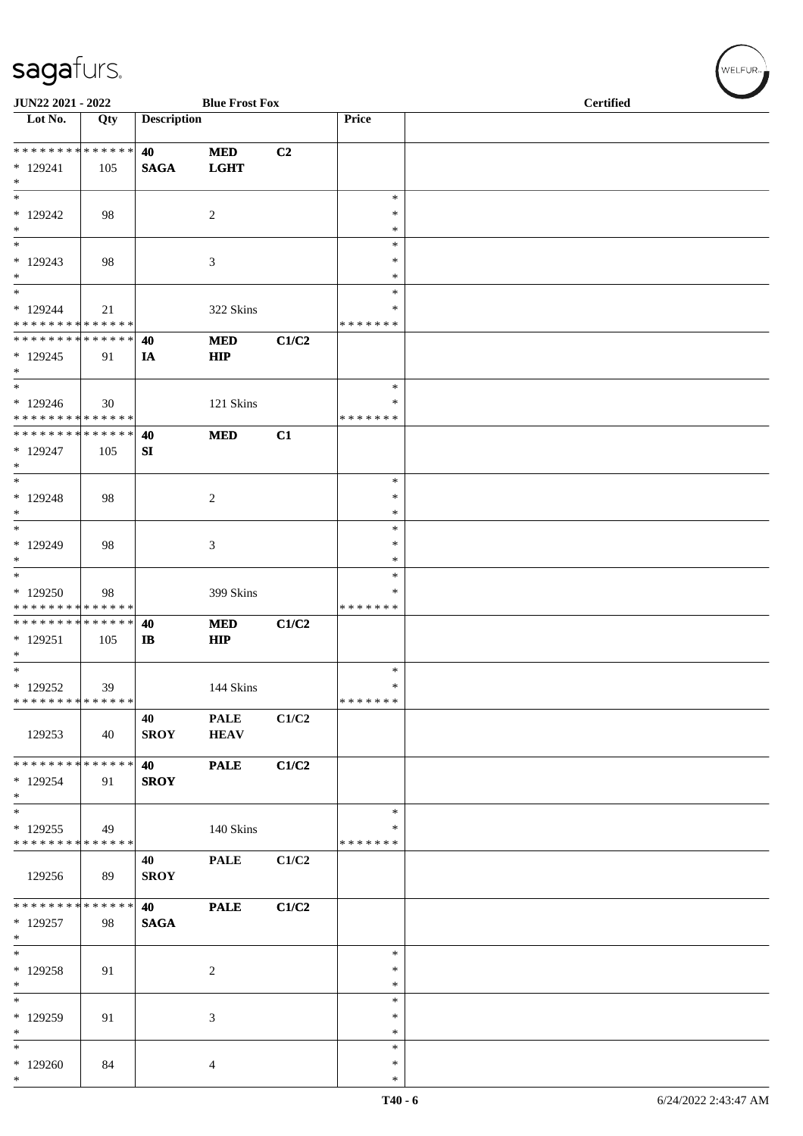| JUN22 2021 - 2022                                  |     |                             | <b>Blue Frost Fox</b>      |       |                                   | <b>Certified</b> |
|----------------------------------------------------|-----|-----------------------------|----------------------------|-------|-----------------------------------|------------------|
| Lot No.                                            | Qty | <b>Description</b>          |                            |       | Price                             |                  |
| * * * * * * * * * * * * * *<br>$*129241$<br>$\ast$ | 105 | 40<br><b>SAGA</b>           | <b>MED</b><br><b>LGHT</b>  | C2    |                                   |                  |
| $\overline{\phantom{0}}$<br>$*129242$<br>$\ast$    | 98  |                             | $\sqrt{2}$                 |       | $\ast$<br>*<br>*                  |                  |
| $\overline{\ast}$<br>$*129243$<br>$\ast$           | 98  |                             | $\mathfrak{Z}$             |       | $\ast$<br>$\ast$<br>$\ast$        |                  |
| $\ast$<br>$*129244$<br>* * * * * * * * * * * * * * | 21  |                             | 322 Skins                  |       | $\ast$<br>$\ast$<br>* * * * * * * |                  |
| * * * * * * * * * * * * * *<br>$*129245$<br>$*$    | 91  | 40<br>IA                    | <b>MED</b><br><b>HIP</b>   | C1/C2 |                                   |                  |
| $\ast$<br>* 129246<br>* * * * * * * * * * * * * *  | 30  |                             | 121 Skins                  |       | $\ast$<br>∗<br>* * * * * * *      |                  |
| * * * * * * * * * * * * * *<br>* 129247<br>$\ast$  | 105 | 40<br>SI                    | <b>MED</b>                 | C1    |                                   |                  |
| $\ast$<br>$* 129248$<br>$*$                        | 98  |                             | $\overline{c}$             |       | $\ast$<br>$\ast$<br>$\ast$        |                  |
| $\ast$<br>$*129249$<br>$*$                         | 98  |                             | 3                          |       | $\ast$<br>$\ast$<br>$\ast$        |                  |
| $\ast$<br>* 129250<br>* * * * * * * * * * * * * *  | 98  |                             | 399 Skins                  |       | $\ast$<br>$\ast$<br>* * * * * * * |                  |
| * * * * * * * * * * * * * *<br>$*129251$<br>$*$    | 105 | 40<br>$\mathbf{I}$ <b>B</b> | <b>MED</b><br><b>HIP</b>   | C1/C2 |                                   |                  |
| $*$<br>* 129252<br>* * * * * * * * * * * * * *     | 39  |                             | 144 Skins                  |       | $\ast$<br>$\ast$<br>* * * * * * * |                  |
| 129253                                             | 40  | 40<br><b>SROY</b>           | <b>PALE</b><br><b>HEAV</b> | C1/C2 |                                   |                  |
| * * * * * * * * * * * * * * *<br>* 129254<br>$*$   | 91  | <b>40</b><br><b>SROY</b>    | <b>PALE</b>                | C1/C2 |                                   |                  |
| $\ast$<br>$*129255$<br>* * * * * * * * * * * * * * | 49  |                             | 140 Skins                  |       | $\ast$<br>∗<br>* * * * * * *      |                  |
| 129256                                             | 89  | 40<br><b>SROY</b>           | <b>PALE</b>                | C1/C2 |                                   |                  |
| * * * * * * * * * * * * * * *<br>* 129257<br>$*$   | 98  | <b>40</b><br><b>SAGA</b>    | <b>PALE</b>                | C1/C2 |                                   |                  |
| $*$<br>* 129258<br>$*$                             | 91  |                             | $\sqrt{2}$                 |       | $\ast$<br>$\ast$<br>$\ast$        |                  |
| $\ast$<br>* 129259<br>$\ast$                       | 91  |                             | 3                          |       | $\ast$<br>∗<br>$\ast$             |                  |
| $\ast$<br>$*129260$<br>$*$                         | 84  |                             | 4                          |       | $\ast$<br>*<br>$\ast$             |                  |

 $(w$ elfur $_{\approx}$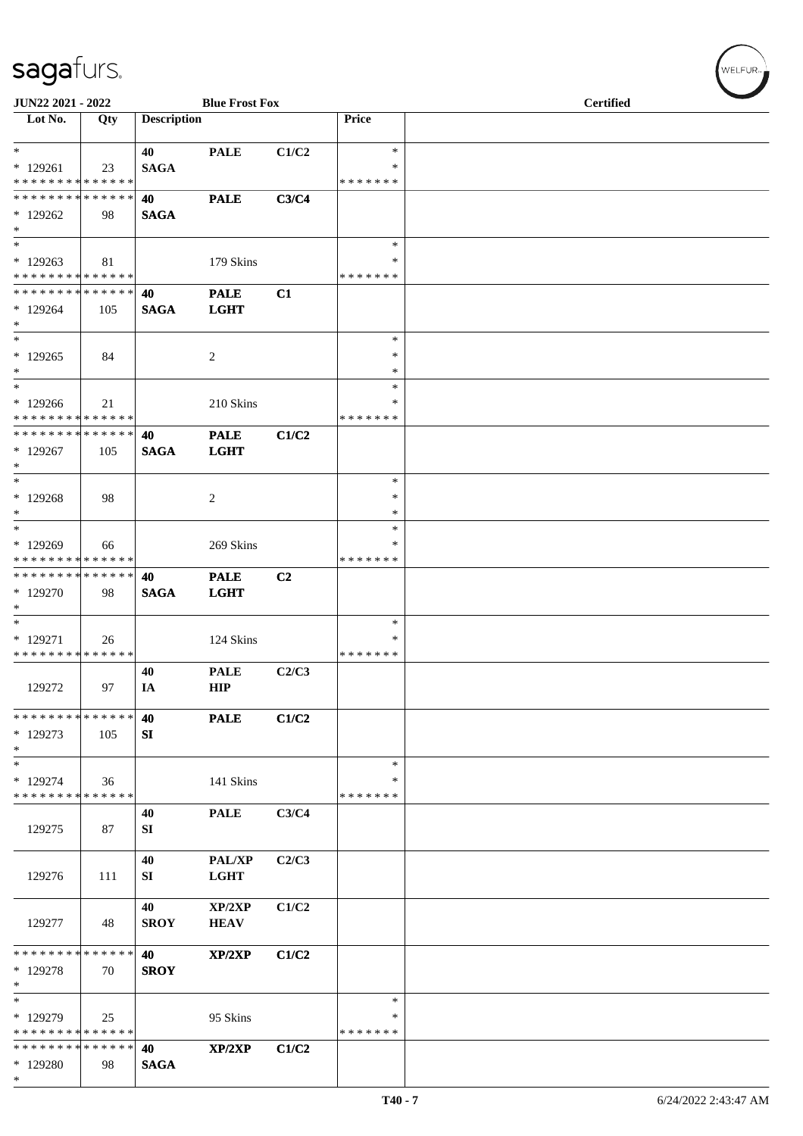| JUN22 2021 - 2022                                   |     |                    | <b>Blue Frost Fox</b>      |                |                                   | <b>Certified</b> |  |  |  |
|-----------------------------------------------------|-----|--------------------|----------------------------|----------------|-----------------------------------|------------------|--|--|--|
| Lot No.                                             | Qty | <b>Description</b> |                            |                | Price                             |                  |  |  |  |
| $\ast$<br>$*129261$                                 | 23  | 40<br><b>SAGA</b>  | <b>PALE</b>                | C1/C2          | $\ast$<br>$\ast$                  |                  |  |  |  |
| * * * * * * * * * * * * * *<br>**************       |     | 40                 | <b>PALE</b>                | C3/C4          | * * * * * * *                     |                  |  |  |  |
| $*129262$<br>$\ast$                                 | 98  | <b>SAGA</b>        |                            |                |                                   |                  |  |  |  |
| $\ast$<br>$*129263$<br>* * * * * * * * * * * * * *  | 81  |                    | 179 Skins                  |                | $\ast$<br>$\ast$<br>* * * * * * * |                  |  |  |  |
| * * * * * * * * * * * * * *<br>$*129264$<br>$\ast$  | 105 | 40<br><b>SAGA</b>  | <b>PALE</b><br><b>LGHT</b> | C1             |                                   |                  |  |  |  |
| $\ast$<br>$*129265$<br>$\ast$                       | 84  |                    | $\overline{2}$             |                | $\ast$<br>$\ast$<br>$\ast$        |                  |  |  |  |
| $\ast$<br>$*129266$<br>* * * * * * * * * * * * * *  | 21  |                    | 210 Skins                  |                | $\ast$<br>*<br>* * * * * * *      |                  |  |  |  |
| ******** <mark>******</mark><br>$*129267$<br>$\ast$ | 105 | 40<br><b>SAGA</b>  | <b>PALE</b><br><b>LGHT</b> | C1/C2          |                                   |                  |  |  |  |
| $\ast$<br>$*129268$<br>$*$                          | 98  |                    | 2                          |                | $\ast$<br>∗<br>$\ast$             |                  |  |  |  |
| $*$<br>* 129269<br>* * * * * * * * * * * * * *      | 66  |                    | 269 Skins                  |                | $\ast$<br>*<br>* * * * * * *      |                  |  |  |  |
| **************<br>$*129270$<br>$\ast$               | 98  | 40<br><b>SAGA</b>  | <b>PALE</b><br><b>LGHT</b> | C <sub>2</sub> |                                   |                  |  |  |  |
| $\ast$<br>$*129271$<br>* * * * * * * * * * * * * *  | 26  |                    | 124 Skins                  |                | $\ast$<br>∗<br>* * * * * * *      |                  |  |  |  |
| 129272                                              | 97  | 40<br>IA           | <b>PALE</b><br><b>HIP</b>  | C2/C3          |                                   |                  |  |  |  |
| * * * * * * * * * * * * * *<br>$*129273$<br>$\ast$  | 105 | 40<br>SI           | <b>PALE</b>                | C1/C2          |                                   |                  |  |  |  |
| $\ast$<br>* 129274<br>* * * * * * * * * * * * * *   | 36  |                    | 141 Skins                  |                | $\ast$<br>∗<br>* * * * * * *      |                  |  |  |  |
| 129275                                              | 87  | 40<br>SI           | <b>PALE</b>                | C3/C4          |                                   |                  |  |  |  |
| 129276                                              | 111 | 40<br><b>SI</b>    | PAL/XP<br>LGHT             | C2/C3          |                                   |                  |  |  |  |
| 129277                                              | 48  | 40<br><b>SROY</b>  | XP/2XP<br><b>HEAV</b>      | C1/C2          |                                   |                  |  |  |  |
| * * * * * * * * * * * * * *<br>* 129278<br>$\ast$   | 70  | 40<br><b>SROY</b>  | XP/2XP                     | C1/C2          |                                   |                  |  |  |  |
| $\ast$<br>* 129279<br>* * * * * * * * * * * * * *   | 25  |                    | 95 Skins                   |                | $\ast$<br>∗<br>* * * * * * *      |                  |  |  |  |
| * * * * * * * * * * * * * *<br>$*129280$<br>$\ast$  | 98  | 40<br><b>SAGA</b>  | XP/2XP                     | C1/C2          |                                   |                  |  |  |  |

WELFUR<sub>\*</sub>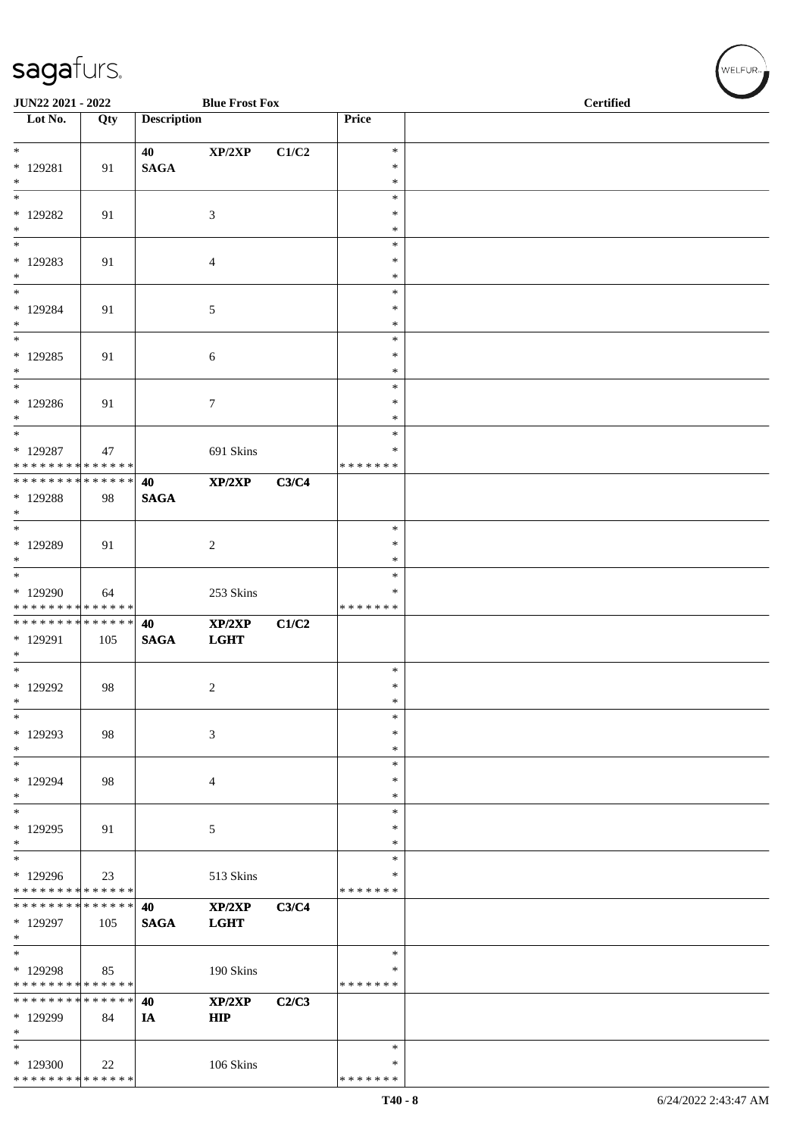| JUN22 2021 - 2022                                          |     |                    | <b>Blue Frost Fox</b> |       |                         | <b>Certified</b> |
|------------------------------------------------------------|-----|--------------------|-----------------------|-------|-------------------------|------------------|
| Lot No.                                                    | Qty | <b>Description</b> |                       |       | Price                   |                  |
| $\ast$                                                     |     | 40                 | XP/2XP                | C1/C2 | $\ast$                  |                  |
| $*$ 129281                                                 | 91  | $\mathbf{SAGA}$    |                       |       | $\ast$                  |                  |
| $\ast$                                                     |     |                    |                       |       | $\ast$                  |                  |
| $\ast$                                                     |     |                    |                       |       | $\ast$                  |                  |
| * 129282<br>$\ast$                                         | 91  |                    | $\mathfrak{Z}$        |       | *<br>*                  |                  |
| $\ast$                                                     |     |                    |                       |       | $\ast$                  |                  |
| $*129283$                                                  | 91  |                    | $\overline{4}$        |       | $\ast$                  |                  |
| $\ast$                                                     |     |                    |                       |       | $\ast$                  |                  |
| $\ast$<br>$*129284$                                        | 91  |                    | $\mathfrak{S}$        |       | $\ast$<br>$\ast$        |                  |
| $\ast$                                                     |     |                    |                       |       | $\ast$                  |                  |
| $\ast$                                                     |     |                    |                       |       | $\ast$                  |                  |
| $*129285$                                                  | 91  |                    | 6                     |       | $\ast$                  |                  |
| $\ast$<br>$\ast$                                           |     |                    |                       |       | $\ast$<br>$\ast$        |                  |
| * 129286                                                   | 91  |                    | $\boldsymbol{7}$      |       | $\ast$                  |                  |
| $\ast$                                                     |     |                    |                       |       | $\ast$                  |                  |
| $\ast$                                                     |     |                    |                       |       | $\ast$                  |                  |
| $*129287$<br>* * * * * * * * * * * * * *                   | 47  |                    | 691 Skins             |       | $\ast$<br>* * * * * * * |                  |
| * * * * * * * * * * * * * *                                |     | 40                 | XP/2XP                | C3/C4 |                         |                  |
| * 129288                                                   | 98  | <b>SAGA</b>        |                       |       |                         |                  |
| $\ast$                                                     |     |                    |                       |       |                         |                  |
| $\ast$<br>* 129289                                         | 91  |                    | $\sqrt{2}$            |       | $\ast$<br>$\ast$        |                  |
| $\ast$                                                     |     |                    |                       |       | $\ast$                  |                  |
| $\ast$                                                     |     |                    |                       |       | $\ast$                  |                  |
| * 129290                                                   | 64  |                    | 253 Skins             |       | $\ast$                  |                  |
| * * * * * * * * * * * * * *<br>* * * * * * * * * * * * * * |     | 40                 | XP/2XP                | C1/C2 | * * * * * * *           |                  |
| * 129291                                                   | 105 | <b>SAGA</b>        | <b>LGHT</b>           |       |                         |                  |
| $\ast$                                                     |     |                    |                       |       |                         |                  |
| $\overline{\phantom{a}^*}$                                 |     |                    |                       |       | $\ast$                  |                  |
| * 129292<br>$\ast$                                         | 98  |                    | $\overline{c}$        |       | $\ast$<br>$\ast$        |                  |
| $\ast$                                                     |     |                    |                       |       | $\ast$                  |                  |
| * 129293                                                   | 98  |                    | $\mathfrak{Z}$        |       | $\ast$                  |                  |
| $\ast$                                                     |     |                    |                       |       | $\ast$                  |                  |
| $\ast$<br>* 129294                                         |     |                    |                       |       | $\ast$<br>$\ast$        |                  |
| $\ast$                                                     | 98  |                    | $\overline{4}$        |       | *                       |                  |
| $\ast$                                                     |     |                    |                       |       | $\ast$                  |                  |
| * 129295                                                   | 91  |                    | $\mathfrak{S}$        |       | $\ast$                  |                  |
| $\ast$<br>$\ast$                                           |     |                    |                       |       | $\ast$<br>$\ast$        |                  |
| * 129296                                                   | 23  |                    | 513 Skins             |       | ∗                       |                  |
| * * * * * * * * * * * * * *                                |     |                    |                       |       | * * * * * * *           |                  |
| * * * * * * * * * * * * * *                                |     | 40                 | XP/2XP                | C3/C4 |                         |                  |
| * 129297                                                   | 105 | <b>SAGA</b>        | <b>LGHT</b>           |       |                         |                  |
| $\ast$<br>$\overline{\ast}$                                |     |                    |                       |       | $\ast$                  |                  |
| * 129298                                                   | 85  |                    | 190 Skins             |       | ∗                       |                  |
| * * * * * * * * * * * * * *                                |     |                    |                       |       | * * * * * * *           |                  |
| * * * * * * * * * * * * * *                                |     | 40                 | XP/2XP                | C2/C3 |                         |                  |
| * 129299<br>$\ast$                                         | 84  | IA                 | <b>HIP</b>            |       |                         |                  |
| $\ast$                                                     |     |                    |                       |       | $\ast$                  |                  |
| * 129300                                                   | 22  |                    | 106 Skins             |       | ∗                       |                  |
| * * * * * * * * * * * * * *                                |     |                    |                       |       | * * * * * * *           |                  |

WELFUR<sub><sup>N</sup></sub>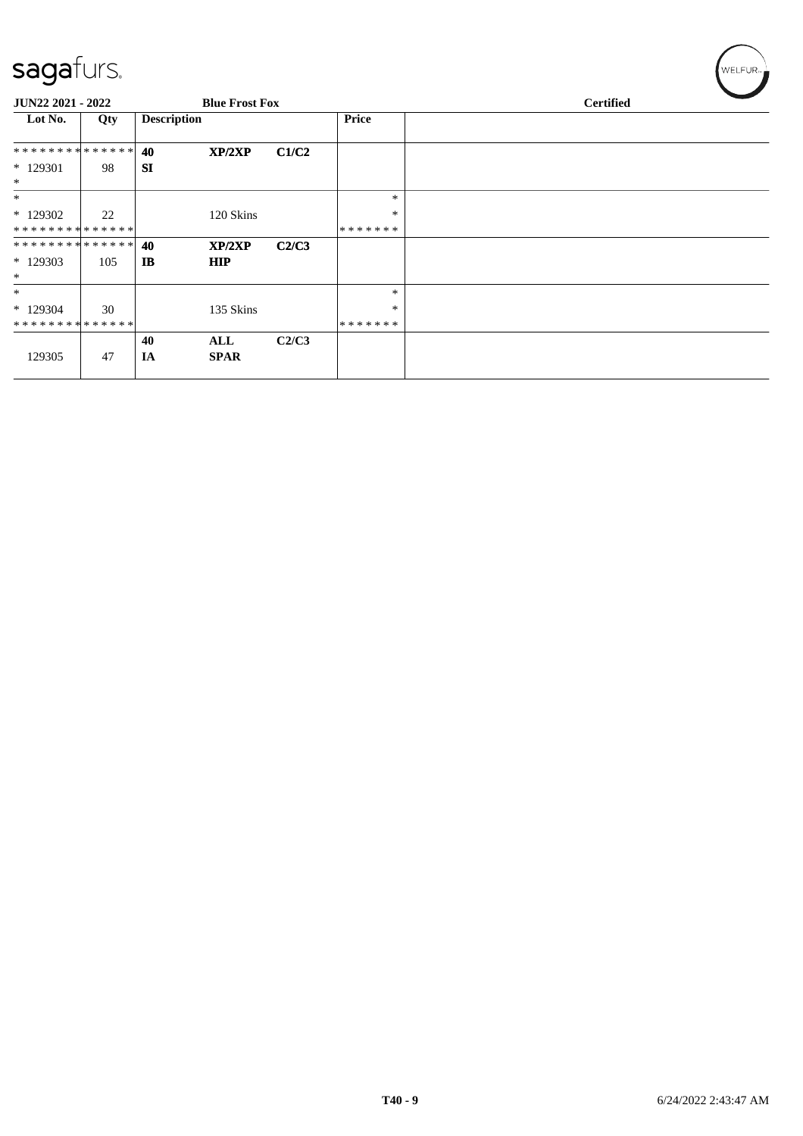| JUN22 2021 - 2022           |     |                    | <b>Blue Frost Fox</b> |       |              | <b>Certified</b> |  |
|-----------------------------|-----|--------------------|-----------------------|-------|--------------|------------------|--|
| Lot No.                     | Qty | <b>Description</b> |                       |       | <b>Price</b> |                  |  |
| **************              |     | 40                 | XP/2XP                | C1/C2 |              |                  |  |
| $*129301$<br>$*$            | 98  | <b>SI</b>          |                       |       |              |                  |  |
| $*$                         |     |                    |                       |       | $\ast$       |                  |  |
| $*129302$                   | 22  |                    | 120 Skins             |       | $\ast$       |                  |  |
| * * * * * * * * * * * * * * |     |                    |                       |       | *******      |                  |  |
| **************              |     | 40                 | XP/2XP                | C2/C3 |              |                  |  |
| $*129303$<br>$*$            | 105 | $_{\rm IB}$        | <b>HIP</b>            |       |              |                  |  |
| $\ast$                      |     |                    |                       |       | $\ast$       |                  |  |
| $*129304$                   | 30  |                    | 135 Skins             |       | $\ast$       |                  |  |
| * * * * * * * * * * * * * * |     |                    |                       |       | *******      |                  |  |
|                             |     | 40                 | ALL                   | C2/C3 |              |                  |  |
| 129305                      | 47  | IA                 | <b>SPAR</b>           |       |              |                  |  |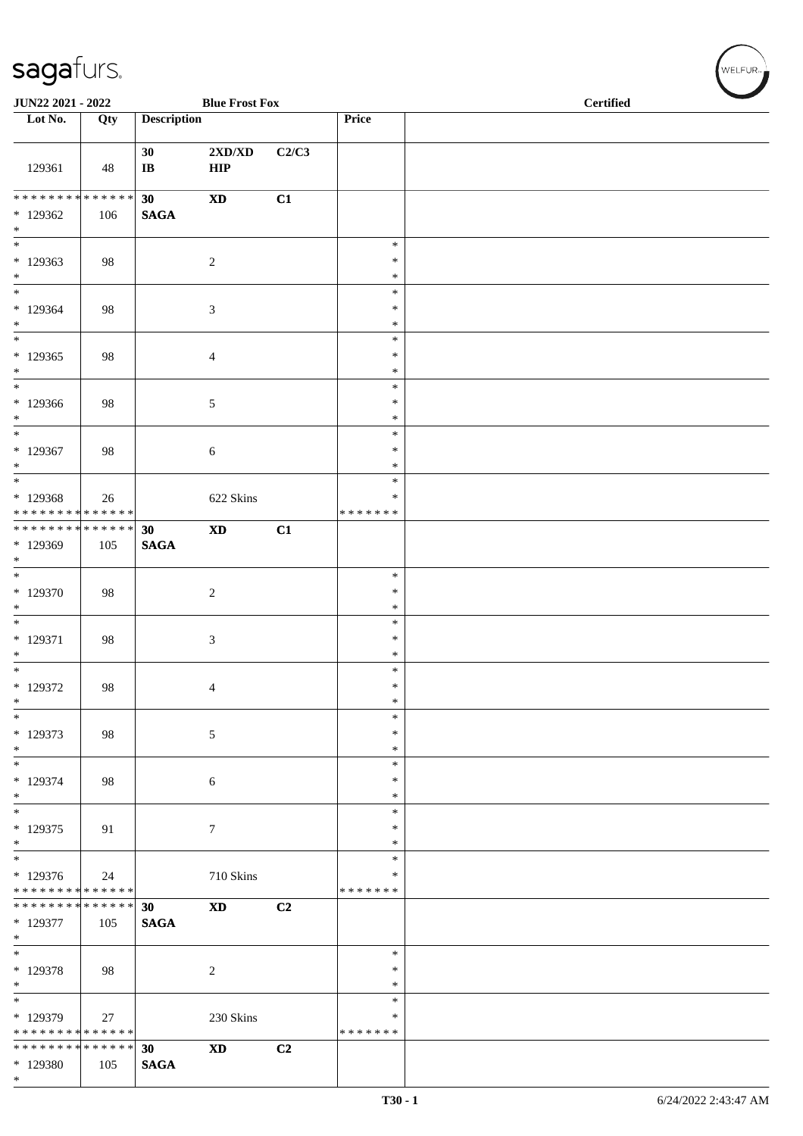| JUN22 2021 - 2022                                                       |     |                       | <b>Blue Frost Fox</b>                   |                |                                      | <b>Certified</b> |  |  |  |
|-------------------------------------------------------------------------|-----|-----------------------|-----------------------------------------|----------------|--------------------------------------|------------------|--|--|--|
| Lot No.                                                                 | Qty | <b>Description</b>    |                                         |                | Price                                |                  |  |  |  |
| 129361                                                                  | 48  | 30<br>$\bf IB$        | $2{\bf X}{\bf D}/{\bf X}{\bf D}$<br>HIP | C2/C3          |                                      |                  |  |  |  |
| $*129362$<br>$*$                                                        | 106 | 30<br><b>SAGA</b>     | $\boldsymbol{\mathrm{XD}}$              | C1             |                                      |                  |  |  |  |
| $\ast$<br>$*129363$<br>$*$                                              | 98  |                       | $\boldsymbol{2}$                        |                | $\ast$<br>$\ast$<br>$\ast$           |                  |  |  |  |
| $\frac{1}{1}$<br>$*129364$<br>$*$<br>$\overline{\phantom{0}}$           | 98  |                       | 3                                       |                | $\ast$<br>$\ast$<br>$\ast$           |                  |  |  |  |
| * 129365<br>$*$                                                         | 98  |                       | $\overline{4}$                          |                | $\ast$<br>$\ast$<br>$\ast$           |                  |  |  |  |
| $*$<br>$*129366$<br>$*$<br>$\overline{\phantom{0}}$                     | 98  |                       | 5                                       |                | $\ast$<br>$\ast$<br>$\ast$<br>$\ast$ |                  |  |  |  |
| $*129367$<br>$*$<br>$\overline{\phantom{0}}$                            | 98  |                       | 6                                       |                | $\ast$<br>$\ast$<br>$\ast$           |                  |  |  |  |
| * 129368<br>* * * * * * * * * * * * * *<br>******** <mark>******</mark> | 26  |                       | 622 Skins                               |                | $\ast$<br>* * * * * * *              |                  |  |  |  |
| * 129369<br>$*$<br>$\overline{\ast}$                                    | 105 | 30<br>$\mathbf{SAGA}$ | $\boldsymbol{\mathrm{XD}}$              | C1             |                                      |                  |  |  |  |
| $*129370$<br>$*$<br>$\overline{\phantom{0}}$                            | 98  |                       | $\overline{c}$                          |                | $\ast$<br>∗<br>$\ast$                |                  |  |  |  |
| $* 129371$<br>$\ast$                                                    | 98  |                       | 3                                       |                | $\ast$<br>$\ast$<br>$\ast$           |                  |  |  |  |
| $*$<br>$*129372$<br>$\ast$                                              | 98  |                       | 4                                       |                | $\ast$<br>$\ast$<br>$\ast$           |                  |  |  |  |
| $\ast$<br>$* 129373$<br>$*$<br>$\overline{\phantom{a}^*}$               | 98  |                       | 5                                       |                | $\ast$<br>∗<br>$\ast$                |                  |  |  |  |
| $* 129374$<br>$*$                                                       | 98  |                       | $\sqrt{6}$                              |                | $\ast$<br>$\ast$<br>$\ast$           |                  |  |  |  |
| $*$<br>$*129375$<br>$*$<br>$\overline{\phantom{0}}$                     | 91  |                       | $\boldsymbol{7}$                        |                | $\ast$<br>$\ast$<br>$\ast$           |                  |  |  |  |
| $*129376$<br>******** <mark>******</mark>                               | 24  |                       | 710 Skins                               |                | $\ast$<br>$\ast$<br>* * * * * * *    |                  |  |  |  |
| ******** <mark>******</mark><br>* 129377<br>$\ast$                      | 105 | 30<br><b>SAGA</b>     | $\boldsymbol{\mathrm{XD}}$              | C2             |                                      |                  |  |  |  |
| $*$<br>* 129378<br>$*$                                                  | 98  |                       | $\overline{c}$                          |                | $\ast$<br>$\ast$<br>$\ast$           |                  |  |  |  |
| $\overline{\phantom{0}}$<br>* 129379<br>* * * * * * * * * * * * * *     | 27  |                       | 230 Skins                               |                | $\ast$<br>$\ast$<br>* * * * * * *    |                  |  |  |  |
| * * * * * * * * * * * * * * *<br>* 129380<br>$*$                        | 105 | 30<br><b>SAGA</b>     | $\mathbf{X}\mathbf{D}$                  | C <sub>2</sub> |                                      |                  |  |  |  |

WELFUR<sub><sup>N</sub></sub></sub></sup>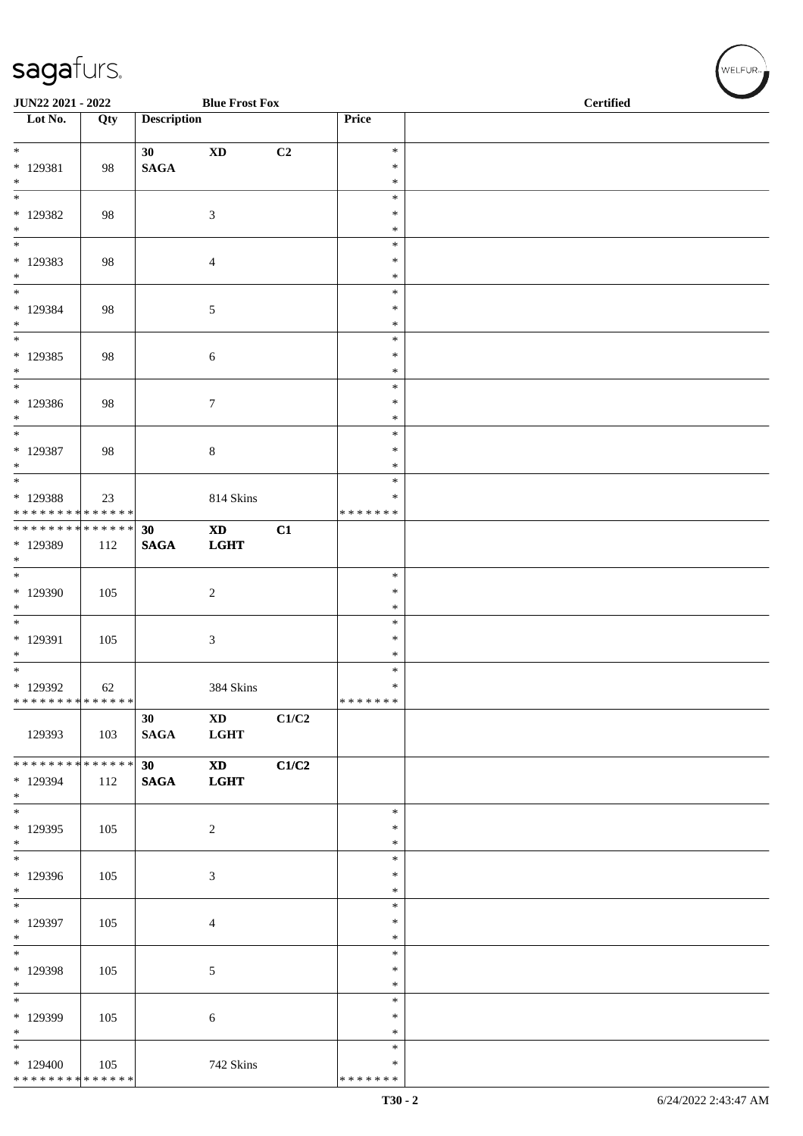| JUN22 2021 - 2022                       |     |                    | <b>Blue Frost Fox</b>       |       |                         | <b>Certified</b> |
|-----------------------------------------|-----|--------------------|-----------------------------|-------|-------------------------|------------------|
| $\overline{\phantom{1}}$ Lot No.        | Qty | <b>Description</b> |                             |       | Price                   |                  |
| $\ast$                                  |     | 30 <sup>°</sup>    | $\mathbf{X}\mathbf{D}$      | C2    | $\ast$                  |                  |
| $* 129381$<br>$\ast$                    | 98  | <b>SAGA</b>        |                             |       | $\ast$<br>$\ast$        |                  |
| $\overline{\phantom{1}}$                |     |                    |                             |       | $\ast$                  |                  |
| * 129382<br>$\ast$                      | 98  |                    | $\sqrt{3}$                  |       | $\ast$<br>$\ast$        |                  |
| $\frac{1}{1}$                           |     |                    |                             |       | $\ast$                  |                  |
| * 129383<br>$*$                         | 98  |                    | $\overline{4}$              |       | $\ast$<br>$\ast$        |                  |
| $\ast$                                  |     |                    |                             |       | $\ast$                  |                  |
| * 129384<br>$\ast$                      | 98  |                    | $\sqrt{5}$                  |       | $\ast$<br>$\ast$        |                  |
| $\ast$                                  |     |                    |                             |       | $\ast$                  |                  |
| $*$ 129385<br>$\ast$                    | 98  |                    | $\sqrt{6}$                  |       | $\ast$<br>$\ast$        |                  |
| $\frac{1}{*}$                           |     |                    |                             |       | $\ast$                  |                  |
| $*129386$<br>$\ast$                     | 98  |                    | $\boldsymbol{7}$            |       | ∗<br>$\ast$             |                  |
| $\overline{\ast}$                       |     |                    |                             |       | $\ast$                  |                  |
| * 129387<br>$\ast$                      | 98  |                    | $\,8\,$                     |       | $\ast$<br>$\ast$        |                  |
| $\overline{\ast}$                       |     |                    |                             |       | $\ast$                  |                  |
| * 129388<br>* * * * * * * * * * * * * * | 23  |                    | 814 Skins                   |       | $\ast$<br>* * * * * * * |                  |
| ******** <mark>******</mark>            |     | 30                 | $\mathbf{X}\mathbf{D}$      | C1    |                         |                  |
| $*$ 129389<br>$\ast$                    | 112 | $\mathbf{SAGA}$    | <b>LGHT</b>                 |       |                         |                  |
| $\overline{\phantom{a}^*}$              |     |                    |                             |       | $\ast$                  |                  |
| $*129390$<br>$\ast$                     | 105 |                    | $\sqrt{2}$                  |       | $\ast$<br>$\ast$        |                  |
| $\ast$                                  |     |                    |                             |       | $\ast$                  |                  |
| $*$ 129391                              | 105 |                    | $\sqrt{3}$                  |       | $\ast$                  |                  |
| $\ast$<br>$\overline{\phantom{a}^*}$    |     |                    |                             |       | $\ast$<br>$\ast$        |                  |
| * 129392                                | 62  |                    | 384 Skins                   |       | $\ast$                  |                  |
| * * * * * * * * * * * * * * *           |     | 30                 | $\mathbf{X}\mathbf{D}$      | C1/C2 | * * * * * * *           |                  |
| 129393                                  | 103 | <b>SAGA</b>        | <b>LGHT</b>                 |       |                         |                  |
| * * * * * * * * * * * * * * *           |     | 30                 | <b>XD</b>                   | C1/C2 |                         |                  |
| * 129394<br>$\ast$                      | 112 | <b>SAGA</b>        | <b>LGHT</b>                 |       |                         |                  |
| $\overline{\phantom{a}^*}$              |     |                    |                             |       | $\ast$                  |                  |
| * 129395<br>$\ast$                      | 105 |                    | $\boldsymbol{2}$            |       | ∗<br>$\ast$             |                  |
| $_{\ast}^{-}$                           |     |                    |                             |       | $\ast$                  |                  |
| * 129396<br>$\ast$                      | 105 |                    | $\ensuremath{\mathfrak{Z}}$ |       | $\ast$<br>$\ast$        |                  |
| $\ast$                                  |     |                    |                             |       | $\ast$                  |                  |
| * 129397<br>$\ast$                      | 105 |                    | $\overline{4}$              |       | $\ast$<br>$\ast$        |                  |
| $\ast$                                  |     |                    |                             |       | $\ast$                  |                  |
| * 129398<br>$\ast$                      | 105 |                    | $\mathfrak{S}$              |       | ∗<br>$\ast$             |                  |
| $_{\ast}^{-}$                           |     |                    |                             |       | $\ast$                  |                  |
| * 129399                                | 105 |                    | 6                           |       | $\ast$                  |                  |
| $\ast$                                  |     |                    |                             |       | $\ast$                  |                  |
| $\ast$<br>$*129400$                     | 105 |                    | 742 Skins                   |       | $\ast$<br>*             |                  |
| * * * * * * * * * * * * * *             |     |                    |                             |       | * * * * * * *           |                  |

WELFUR<sub>"</sub>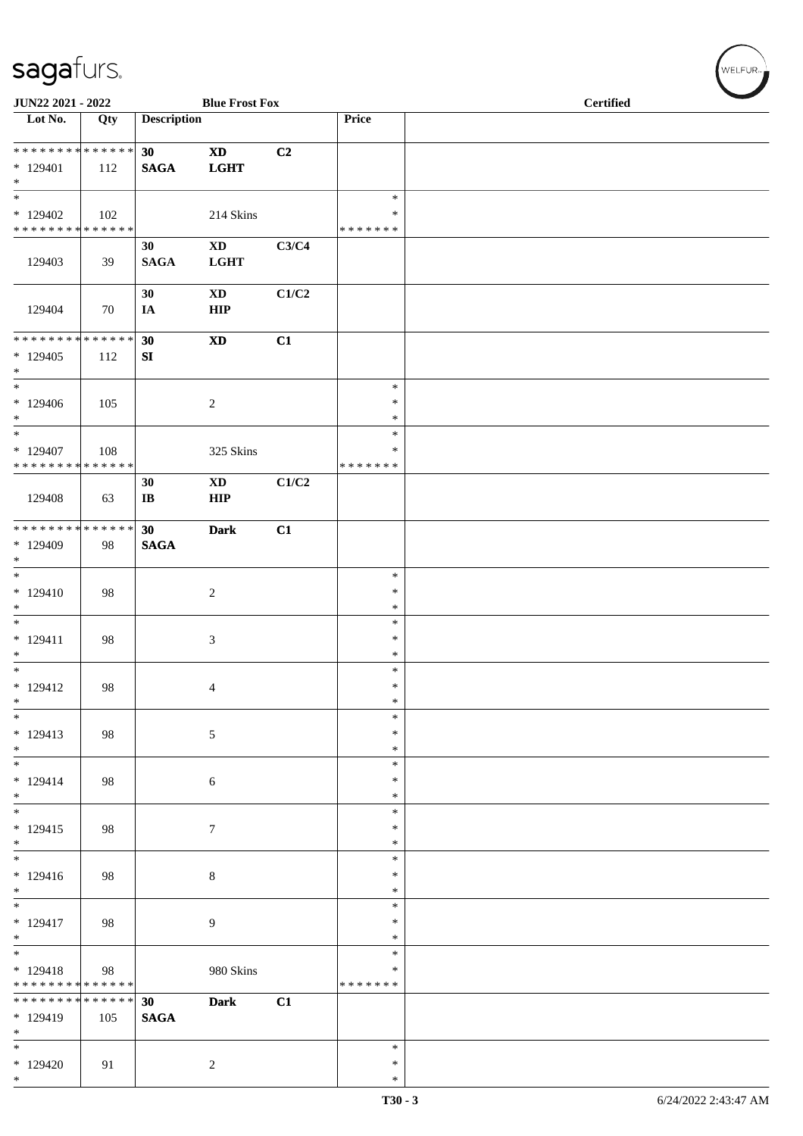| JUN22 2021 - 2022                                                     |     |                    | <b>Blue Frost Fox</b>                 |       |                              | <b>Certified</b> |
|-----------------------------------------------------------------------|-----|--------------------|---------------------------------------|-------|------------------------------|------------------|
| Lot No.                                                               | Qty | <b>Description</b> |                                       |       | Price                        |                  |
| * * * * * * * * * * * * * *<br>$*129401$<br>$\ast$                    | 112 | 30<br><b>SAGA</b>  | <b>XD</b><br><b>LGHT</b>              | C2    |                              |                  |
| $\overline{\phantom{0}}$<br>$*129402$<br>* * * * * * * * * * * * * *  | 102 |                    | 214 Skins                             |       | $\ast$<br>∗<br>* * * * * * * |                  |
| 129403                                                                | 39  | 30<br><b>SAGA</b>  | $\mathbf{X}\mathbf{D}$<br><b>LGHT</b> | C3/C4 |                              |                  |
| 129404                                                                | 70  | 30<br>IA           | $\mathbf{X}\mathbf{D}$<br><b>HIP</b>  | C1/C2 |                              |                  |
| * * * * * * * * * * * * * *<br>$*129405$<br>$\ast$                    | 112 | 30<br>SI           | $\boldsymbol{\mathrm{XD}}$            | C1    |                              |                  |
| $\ast$<br>$*129406$<br>$\ast$                                         | 105 |                    | $\sqrt{2}$                            |       | $\ast$<br>$\ast$<br>$\ast$   |                  |
| $\ast$<br>$*129407$<br>* * * * * * * * * * * * * *                    | 108 |                    | 325 Skins                             |       | $\ast$<br>*<br>* * * * * * * |                  |
| 129408                                                                | 63  | 30<br>$\bf I\bf B$ | $\mathbf{X}\mathbf{D}$<br><b>HIP</b>  | C1/C2 |                              |                  |
| ******** <mark>******</mark><br>* 129409<br>$*$                       | 98  | 30<br><b>SAGA</b>  | <b>Dark</b>                           | C1    |                              |                  |
| $*$<br>$*129410$<br>$*$                                               | 98  |                    | $\sqrt{2}$                            |       | $\ast$<br>$\ast$<br>$\ast$   |                  |
| $*$<br>$* 129411$<br>$*$                                              | 98  |                    | 3                                     |       | $\ast$<br>$\ast$<br>$\ast$   |                  |
| $\overline{\phantom{0}}$<br>$* 129412$<br>$*$                         | 98  |                    | $\overline{4}$                        |       | $\ast$<br>$\ast$<br>$\ast$   |                  |
| $\overline{\phantom{0}}$<br>$* 129413$<br>$*$                         | 98  |                    | $5\,$                                 |       | $\ast$<br>$\ast$<br>$\ast$   |                  |
| $\overline{\ast}$<br>$* 129414$<br>$*$                                | 98  |                    | 6                                     |       | $\ast$<br>$\ast$<br>$\ast$   |                  |
| $\overline{\phantom{0}}$<br>$* 129415$<br>$*$                         | 98  |                    | $\tau$                                |       | $\ast$<br>$\ast$<br>$\ast$   |                  |
| $*$<br>$* 129416$<br>$*$                                              | 98  |                    | $\,8\,$                               |       | $\ast$<br>$\ast$<br>$\ast$   |                  |
| $\overline{\phantom{0}}$<br>$* 129417$<br>$\ast$                      | 98  |                    | 9                                     |       | $\ast$<br>$\ast$<br>*        |                  |
| $\overline{\phantom{0}}$<br>$* 129418$<br>* * * * * * * * * * * * * * | 98  |                    | 980 Skins                             |       | $\ast$<br>∗<br>* * * * * * * |                  |
| * * * * * * * * * * * * * *<br>* 129419<br>$*$                        | 105 | 30<br><b>SAGA</b>  | <b>Dark</b>                           | C1    |                              |                  |
| $\overline{\phantom{0}}$<br>$*129420$<br>$*$                          | 91  |                    | $\overline{2}$                        |       | $\ast$<br>$\ast$<br>$\ast$   |                  |

 $(w$ ELFUR<sub>m</sub>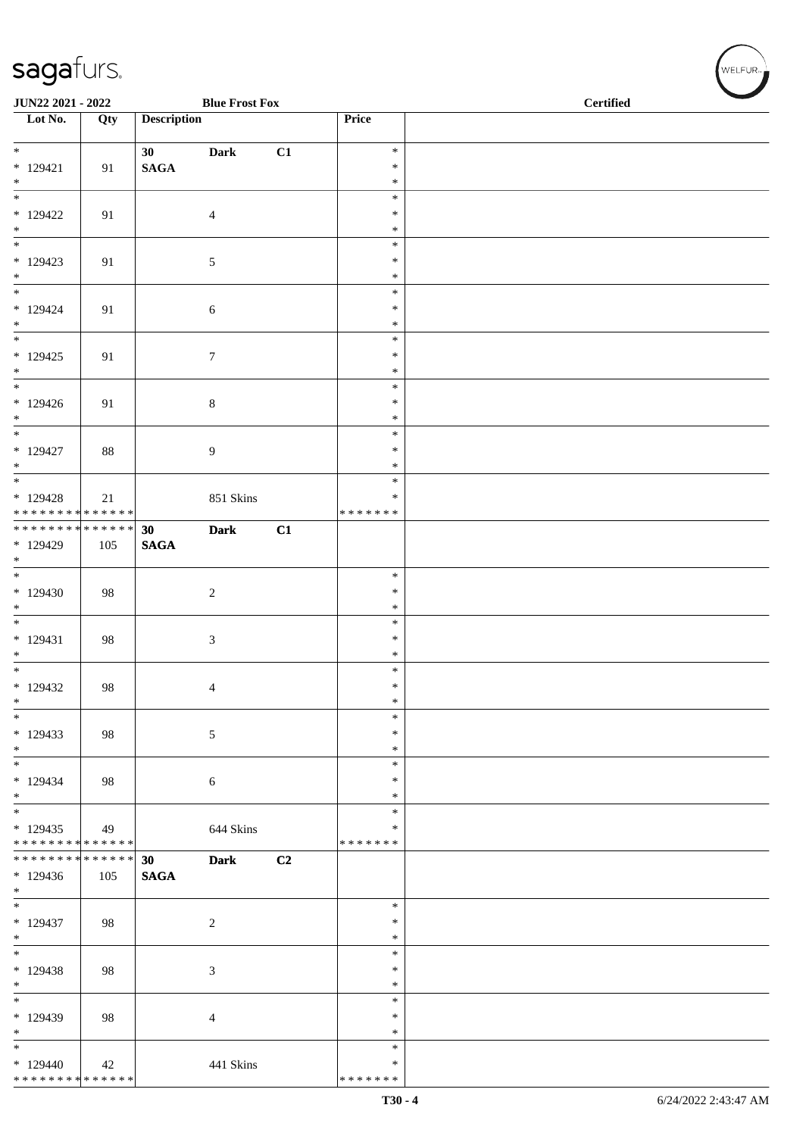|                                          | JUN22 2021 - 2022 |                    | <b>Blue Frost Fox</b> |    |                    | <b>Certified</b> |
|------------------------------------------|-------------------|--------------------|-----------------------|----|--------------------|------------------|
| $\overline{\phantom{1}}$ Lot No.         | Qty               | <b>Description</b> |                       |    | Price              |                  |
| $\overline{\phantom{0}}$                 |                   | 30 <sup>1</sup>    | <b>Dark</b>           | C1 | $\ast$             |                  |
| $* 129421$<br>$\ast$                     | 91                | <b>SAGA</b>        |                       |    | $\ast$<br>$\ast$   |                  |
| $\overline{\ast}$                        |                   |                    |                       |    | $\ast$             |                  |
| $*129422$                                | 91                |                    | $\overline{4}$        |    | $\ast$<br>$\ast$   |                  |
| $*$                                      |                   |                    |                       |    | $\ast$             |                  |
| $*129423$<br>$*$                         | 91                |                    | $\mathfrak{S}$        |    | $\ast$<br>$\ast$   |                  |
| $\frac{1}{*}$                            |                   |                    |                       |    | $\ast$             |                  |
| $*129424$<br>$*$                         | 91                |                    | $\sqrt{6}$            |    | $\ast$<br>$\ast$   |                  |
| $\overline{\phantom{a}^*}$               |                   |                    |                       |    | $\ast$             |                  |
| $*129425$                                | 91                |                    | $\boldsymbol{7}$      |    | $\ast$<br>$\ast$   |                  |
| $*$   $*$                                |                   |                    |                       |    | $\ast$             |                  |
| * 129426<br>$*$                          | 91                |                    | $\,8\,$               |    | $\ast$<br>$\ast$   |                  |
| $\overline{\phantom{a}^*}$               |                   |                    |                       |    | $\ast$             |                  |
| $*129427$<br>$\ast$                      | 88                |                    | 9                     |    | $\ast$<br>$\ast$   |                  |
| $\overline{\phantom{0}}$                 |                   |                    |                       |    | $\ast$             |                  |
| $*129428$<br>* * * * * * * * * * * * * * | 21                |                    | 851 Skins             |    | *<br>* * * * * * * |                  |
| ******** <mark>******</mark>             |                   | 30                 | <b>Dark</b>           | C1 |                    |                  |
| * 129429<br>$*$                          | 105               | <b>SAGA</b>        |                       |    |                    |                  |
| $\overline{\phantom{0}}$                 |                   |                    |                       |    | $\ast$             |                  |
| $*129430$<br>$\ast$                      | 98                |                    | $\sqrt{2}$            |    | $\ast$<br>$\ast$   |                  |
| $\overline{\phantom{0}}$                 |                   |                    |                       |    | $\ast$             |                  |
| $* 129431$<br>$\ast$                     | 98                |                    | $\sqrt{3}$            |    | $\ast$<br>$\ast$   |                  |
| $\overline{\phantom{a}^*}$               |                   |                    |                       |    | $\ast$             |                  |
| $*129432$<br>$\ast$                      | 98                |                    | $\overline{4}$        |    | $\ast$<br>$\ast$   |                  |
| $\ast$                                   |                   |                    |                       |    | $\ast$             |                  |
| $*129433$<br>$\ast$                      | 98                |                    | $\sqrt{5}$            |    | $\ast$<br>$\ast$   |                  |
| $\overline{\phantom{a}^*}$               |                   |                    |                       |    | $\ast$             |                  |
| $*129434$<br>$\ast$                      | 98                |                    | 6                     |    | *<br>$\ast$        |                  |
| $\overline{\phantom{0}}$                 |                   |                    |                       |    | $\ast$<br>*        |                  |
| $*129435$<br>* * * * * * * * * * * * * * | 49                |                    | 644 Skins             |    | * * * * * * *      |                  |
| **************<br>$*129436$              |                   | 30 <sup>°</sup>    | <b>Dark</b>           | C2 |                    |                  |
| $*$                                      | 105               | $\mathbf{SAGA}$    |                       |    |                    |                  |
| $\overline{\phantom{a}^*}$<br>$*129437$  |                   |                    |                       |    | $\ast$<br>$\ast$   |                  |
| $\ast$                                   | 98                |                    | $\overline{c}$        |    | $\ast$             |                  |
| $_{\ast}^{-}$<br>* 129438                | 98                |                    |                       |    | $\ast$<br>$\ast$   |                  |
| $\ast$                                   |                   |                    | 3                     |    | *                  |                  |
| $\overline{\phantom{a}^*}$               |                   |                    |                       |    | $\ast$<br>$\ast$   |                  |
| * 129439<br>$\ast$                       | 98                |                    | $\overline{4}$        |    | $\ast$             |                  |
| $\overline{\phantom{a}^*}$               |                   |                    |                       |    | $\ast$<br>∗        |                  |
| $*129440$<br>* * * * * * * * * * * * * * | 42                |                    | 441 Skins             |    | * * * * * * *      |                  |

WELFUR<sub>"</sub>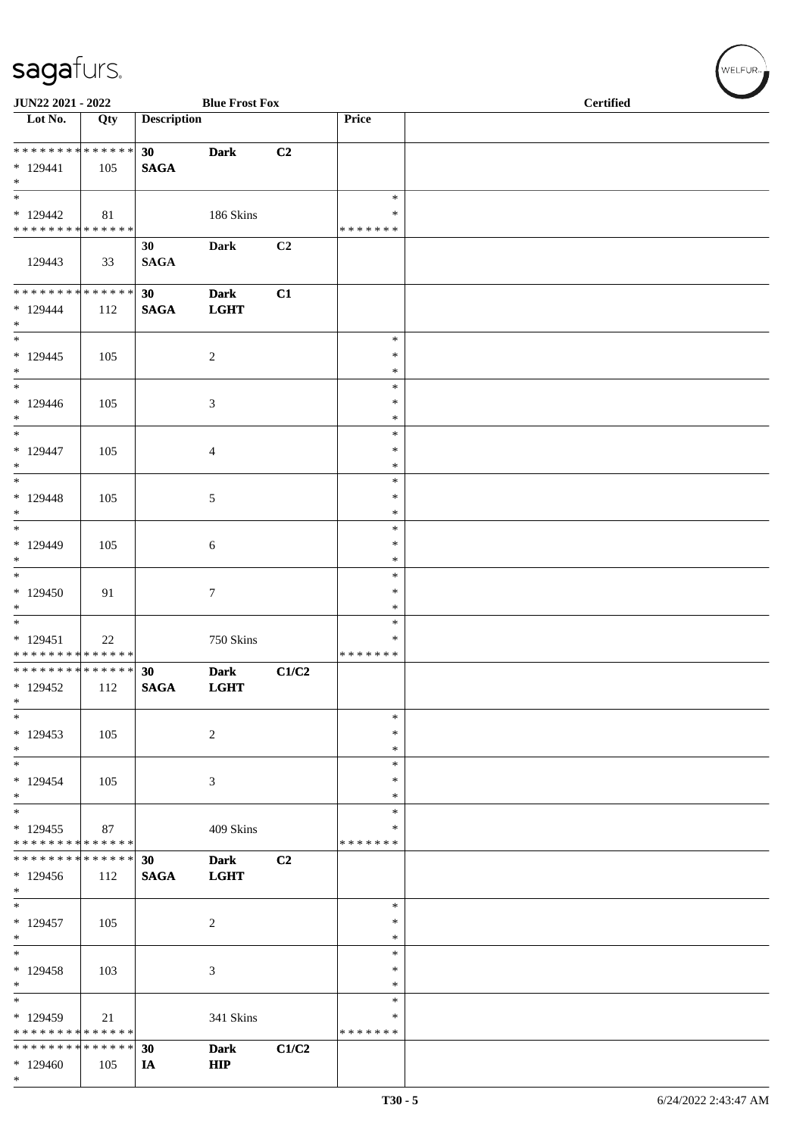| JUN22 2021 - 2022                                                         |     |                                | <b>Blue Frost Fox</b>      |       |                                   | <b>Certified</b> |  |
|---------------------------------------------------------------------------|-----|--------------------------------|----------------------------|-------|-----------------------------------|------------------|--|
| Lot No.                                                                   | Qty | <b>Description</b>             |                            |       | Price                             |                  |  |
| ******** <mark>*******</mark><br>$* 129441$<br>$\ast$                     | 105 | 30 <sup>°</sup><br><b>SAGA</b> | <b>Dark</b>                | C2    |                                   |                  |  |
| $\overline{\ast}$<br>$*129442$<br>******** <mark>******</mark>            | 81  |                                | 186 Skins                  |       | $\ast$<br>$\ast$<br>* * * * * * * |                  |  |
| 129443                                                                    | 33  | 30<br><b>SAGA</b>              | Dark                       | C2    |                                   |                  |  |
| ******** <mark>******</mark><br>$*129444$<br>$*$                          | 112 | 30 <sup>°</sup><br><b>SAGA</b> | <b>Dark</b><br><b>LGHT</b> | C1    |                                   |                  |  |
| $\frac{1}{*}$<br>$*129445$<br>$\ast$                                      | 105 |                                | $\sqrt{2}$                 |       | $\ast$<br>$\ast$<br>$\ast$        |                  |  |
| $*$<br>* 129446<br>$*$                                                    | 105 |                                | 3                          |       | $\ast$<br>$\ast$<br>$\ast$        |                  |  |
| $\overline{\phantom{0}}$<br>$* 129447$<br>$*$<br>$\overline{\phantom{0}}$ | 105 |                                | $\overline{4}$             |       | $\ast$<br>$\ast$<br>$\ast$        |                  |  |
| $* 129448$<br>$*$                                                         | 105 |                                | $\sqrt{5}$                 |       | $\ast$<br>$\ast$<br>$\ast$        |                  |  |
| $*$<br>* 129449<br>$*$                                                    | 105 |                                | 6                          |       | $\ast$<br>$\ast$<br>$\ast$        |                  |  |
| $*$<br>$*129450$<br>$*$<br>$\frac{1}{1}$                                  | 91  |                                | $\tau$                     |       | $\ast$<br>*<br>*                  |                  |  |
| $*129451$<br>* * * * * * * * * * * * * *                                  | 22  |                                | 750 Skins                  |       | $\ast$<br>∗<br>* * * * * * *      |                  |  |
| * * * * * * * * * * * * * * *<br>$*129452$<br>$\ast$                      | 112 | 30<br><b>SAGA</b>              | <b>Dark</b><br><b>LGHT</b> | C1/C2 |                                   |                  |  |
| $\ast$<br>$*129453$<br>$*$<br>$\overline{\phantom{0}}$                    | 105 |                                | $\sqrt{2}$                 |       | $\ast$<br>∗<br>*                  |                  |  |
| $*129454$<br>$*$                                                          | 105 |                                | $\mathfrak{Z}$             |       | $\ast$<br>$\ast$<br>$\ast$        |                  |  |
| $\ast$<br>$*129455$<br>* * * * * * * * * * * * * *                        | 87  |                                | 409 Skins                  |       | $\ast$<br>$\ast$<br>* * * * * * * |                  |  |
| * * * * * * * * * * * * * *<br>* 129456<br>$\ast$                         | 112 | 30<br><b>SAGA</b>              | <b>Dark</b><br><b>LGHT</b> | C2    |                                   |                  |  |
| $\ast$<br>$*129457$<br>$\ast$                                             | 105 |                                | $\sqrt{2}$                 |       | $\ast$<br>∗<br>$\ast$             |                  |  |
| $\ast$<br>$*129458$<br>$\ast$                                             | 103 |                                | 3                          |       | *<br>∗<br>$\ast$                  |                  |  |
| $\ast$<br>* 129459<br>* * * * * * * * * * * * * *                         | 21  |                                | 341 Skins                  |       | $\ast$<br>*<br>* * * * * * *      |                  |  |
| * * * * * * * * * * * * * *<br>* 129460<br>$*$                            | 105 | 30<br>IA                       | <b>Dark</b><br><b>HIP</b>  | C1/C2 |                                   |                  |  |

WELFUR<sub>\*</sub>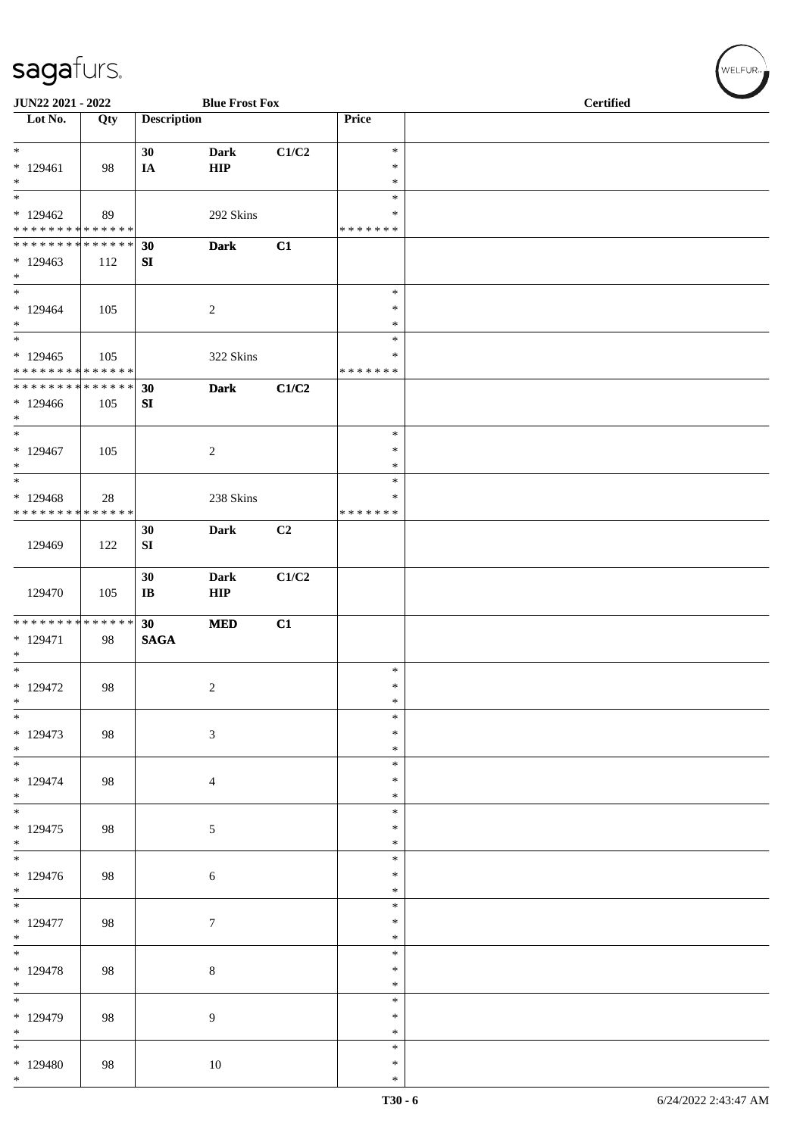| JUN22 2021 - 2022                                                         |     |                    | <b>Blue Frost Fox</b>      |       |                                      | <b>Certified</b> |  |
|---------------------------------------------------------------------------|-----|--------------------|----------------------------|-------|--------------------------------------|------------------|--|
| Lot No.                                                                   | Qty | <b>Description</b> |                            |       | Price                                |                  |  |
| $*$<br>$*129461$<br>$*$                                                   | 98  | 30<br>IA           | <b>Dark</b><br><b>HIP</b>  | C1/C2 | $\ast$<br>$\ast$<br>$\ast$           |                  |  |
| $\overline{\phantom{0}}$<br>$*129462$<br>* * * * * * * * * * * * * *      | 89  |                    | 292 Skins                  |       | $\ast$<br>$\ast$<br>* * * * * * *    |                  |  |
| * * * * * * * * * * * * * * *<br>$*129463$<br>$*$                         | 112 | 30<br>SI           | <b>Dark</b>                | C1    |                                      |                  |  |
| $\ast$<br>$*129464$<br>$*$<br>$\overline{\ast}$                           | 105 |                    | $\overline{c}$             |       | $\ast$<br>$\ast$<br>$\ast$<br>$\ast$ |                  |  |
| $*129465$<br>* * * * * * * * * * * * * *                                  | 105 |                    | 322 Skins                  |       | ∗<br>* * * * * * *                   |                  |  |
| * * * * * * * * * * * * * * *<br>$*129466$<br>$*$                         | 105 | 30<br>SI           | <b>Dark</b>                | C1/C2 |                                      |                  |  |
| $*$<br>$*129467$<br>$*$                                                   | 105 |                    | $\overline{c}$             |       | $\ast$<br>$\ast$<br>$\ast$           |                  |  |
| $\ast$<br>$*129468$<br>* * * * * * * * * * * * * *                        | 28  |                    | 238 Skins                  |       | $\ast$<br>∗<br>* * * * * * *         |                  |  |
| 129469                                                                    | 122 | 30<br>${\bf SI}$   | <b>Dark</b>                | C2    |                                      |                  |  |
| 129470                                                                    | 105 | 30<br>$\bf IB$     | <b>Dark</b><br>${\bf HIP}$ | C1/C2 |                                      |                  |  |
| ******** <mark>******</mark><br>$* 129471$<br>$\ast$<br>$\overline{\ast}$ | 98  | 30<br><b>SAGA</b>  | $\bf MED$                  | C1    |                                      |                  |  |
| * 129472<br>$\ast$                                                        | 98  |                    | 2                          |       | $\ast$<br>$\ast$<br>$\ast$           |                  |  |
| $\ast$<br>$* 129473$<br>$*$                                               | 98  |                    | $\mathfrak{Z}$             |       | $\ast$<br>$\ast$<br>$\ast$           |                  |  |
| $\overline{\phantom{0}}$<br>$* 129474$<br>$*$                             | 98  |                    | $\overline{4}$             |       | $\ast$<br>$\ast$<br>$\ast$           |                  |  |
| $* 129475$<br>$*$                                                         | 98  |                    | 5                          |       | $\ast$<br>$\ast$<br>$\ast$           |                  |  |
| $\overline{\ }$<br>$* 129476$<br>$*$                                      | 98  |                    | 6                          |       | $\ast$<br>$\ast$<br>$\ast$           |                  |  |
| $\ast$<br>$* 129477$<br>$*$                                               | 98  |                    | $\tau$                     |       | *<br>$\ast$<br>$\ast$                |                  |  |
| $\overline{\phantom{0}}$<br>$* 129478$<br>$*$                             | 98  |                    | $\,8\,$                    |       | $\ast$<br>$\ast$<br>$\ast$           |                  |  |
| $\overline{\ast}$<br>* 129479<br>$*$                                      | 98  |                    | $\overline{9}$             |       | $\ast$<br>$\ast$<br>$\ast$           |                  |  |
| $\ast$<br>$*129480$<br>$*$                                                | 98  |                    | 10                         |       | ∗<br>$\ast$<br>$\ast$                |                  |  |

WELFUR<sub><sup>N</sub></sub></sub></sup>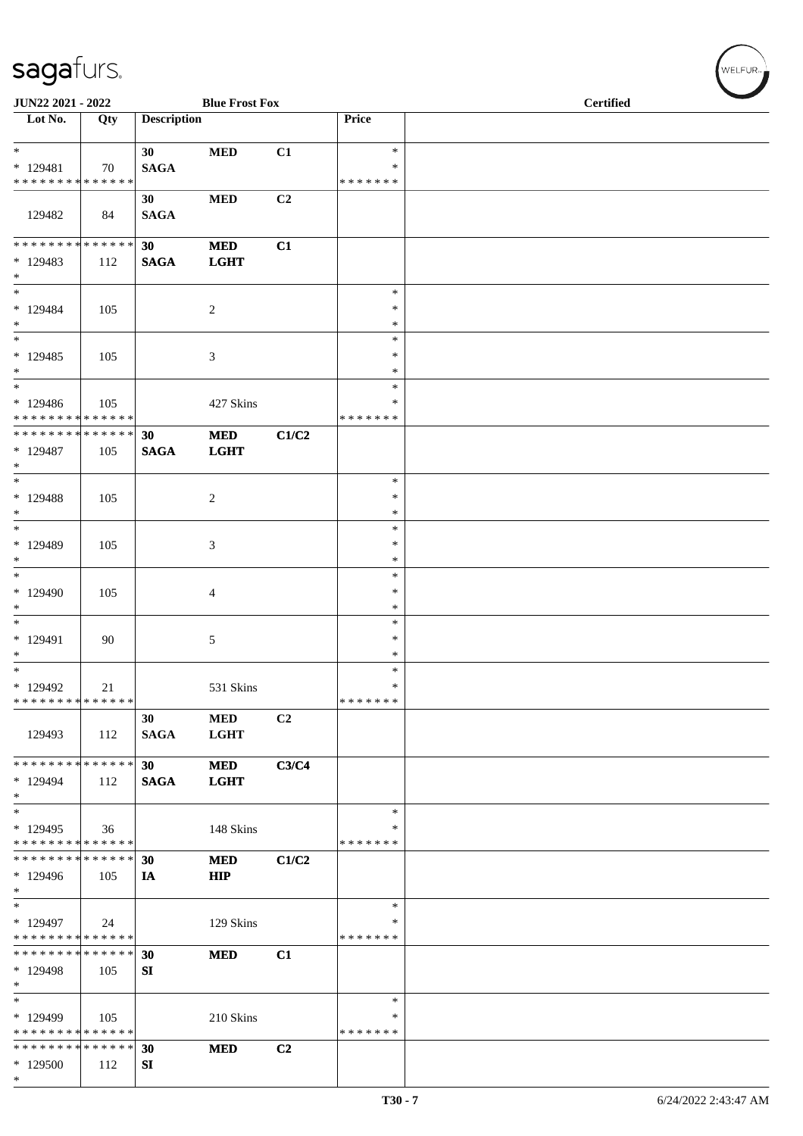| JUN22 2021 - 2022                                 |     |                                | <b>Blue Frost Fox</b>     |                |                         | <b>Certified</b> |
|---------------------------------------------------|-----|--------------------------------|---------------------------|----------------|-------------------------|------------------|
| $\overline{\phantom{1}}$ Lot No.                  | Qty | <b>Description</b>             |                           |                | Price                   |                  |
| $*$<br>$* 129481$                                 | 70  | 30 <sup>°</sup><br><b>SAGA</b> | $\bf MED$                 | C1             | $\ast$<br>$\ast$        |                  |
| * * * * * * * * * * * * * *                       |     | 30                             | $\bf MED$                 | C <sub>2</sub> | * * * * * * *           |                  |
| 129482                                            | 84  | <b>SAGA</b>                    |                           |                |                         |                  |
| ******** <mark>******</mark>                      |     | 30 <sub>1</sub>                | <b>MED</b>                | C1             |                         |                  |
| $*129483$<br>$*$                                  | 112 | <b>SAGA</b>                    | <b>LGHT</b>               |                |                         |                  |
| $\ast$<br>$*129484$                               | 105 |                                | $\overline{2}$            |                | $\ast$<br>$\ast$        |                  |
| $\ast$                                            |     |                                |                           |                | ∗                       |                  |
| $_{\ast}^{-}$                                     |     |                                |                           |                | $\ast$                  |                  |
| $*129485$<br>$\ast$<br>$\overline{\phantom{a}^*}$ | 105 |                                | 3                         |                | $\ast$<br>$\ast$        |                  |
| $*129486$                                         | 105 |                                | 427 Skins                 |                | $\ast$<br>*             |                  |
| * * * * * * * * * * * * * *                       |     |                                |                           |                | * * * * * * *           |                  |
| **************<br>* 129487<br>$*$                 | 105 | 30<br><b>SAGA</b>              | $\bf MED$<br><b>LGHT</b>  | C1/C2          |                         |                  |
| $\overline{\phantom{1}}$                          |     |                                |                           |                | $\ast$                  |                  |
| * 129488<br>$*$                                   | 105 |                                | $\sqrt{2}$                |                | $\ast$<br>$\ast$        |                  |
| $\ast$                                            |     |                                |                           |                | $\ast$                  |                  |
| * 129489                                          | 105 |                                | $\mathfrak{Z}$            |                | $\ast$                  |                  |
| $\ast$<br>$\ast$                                  |     |                                |                           |                | $\ast$<br>$\ast$        |                  |
| * 129490                                          | 105 |                                | $\overline{4}$            |                | $\ast$                  |                  |
| $\ast$                                            |     |                                |                           |                | $\ast$                  |                  |
| $\ast$<br>* 129491                                | 90  |                                | 5                         |                | $\ast$<br>$\ast$        |                  |
| $\ast$                                            |     |                                |                           |                | $\ast$                  |                  |
| $\overline{\phantom{0}}$                          |     |                                |                           |                | $\ast$                  |                  |
| * 129492<br>* * * * * * * * * * * * * *           | 21  |                                | 531 Skins                 |                | $\ast$<br>* * * * * * * |                  |
| 129493                                            | 112 | 30<br><b>SAGA</b>              | <b>MED</b><br><b>LGHT</b> | C2             |                         |                  |
| * * * * * * * * * * * * * * *                     |     | 30 <sup>°</sup>                | <b>MED</b>                | C3/C4          |                         |                  |
| $*129494$                                         | 112 | <b>SAGA</b>                    | <b>LGHT</b>               |                |                         |                  |
| $*$<br>$\ast$                                     |     |                                |                           |                | $\ast$                  |                  |
| $*129495$                                         | 36  |                                | 148 Skins                 |                | ∗                       |                  |
| * * * * * * * * * * * * * *                       |     |                                |                           |                | * * * * * * *           |                  |
| * * * * * * * * * * * * * *<br>* 129496           | 105 | 30<br>IA                       | <b>MED</b><br><b>HIP</b>  | C1/C2          |                         |                  |
| $*$                                               |     |                                |                           |                |                         |                  |
| $\ast$                                            |     |                                |                           |                | $\ast$                  |                  |
| $*129497$<br>* * * * * * * * * * * * * *          | 24  |                                | 129 Skins                 |                | ∗<br>* * * * * * *      |                  |
| * * * * * * * * * * * * * *                       |     | 30                             | <b>MED</b>                | C1             |                         |                  |
| * 129498                                          | 105 | SI                             |                           |                |                         |                  |
| $\ast$<br>$\overline{\phantom{a}^*}$              |     |                                |                           |                | $\ast$                  |                  |
| * 129499                                          | 105 |                                | 210 Skins                 |                | $\ast$                  |                  |
| * * * * * * * * * * * * * *                       |     |                                |                           |                | * * * * * * *           |                  |
| * * * * * * * * * * * * * *                       |     | 30                             | <b>MED</b>                | C <sub>2</sub> |                         |                  |
| * 129500<br>$*$                                   | 112 | SI                             |                           |                |                         |                  |

 $(w$ elfur $_{\approx}$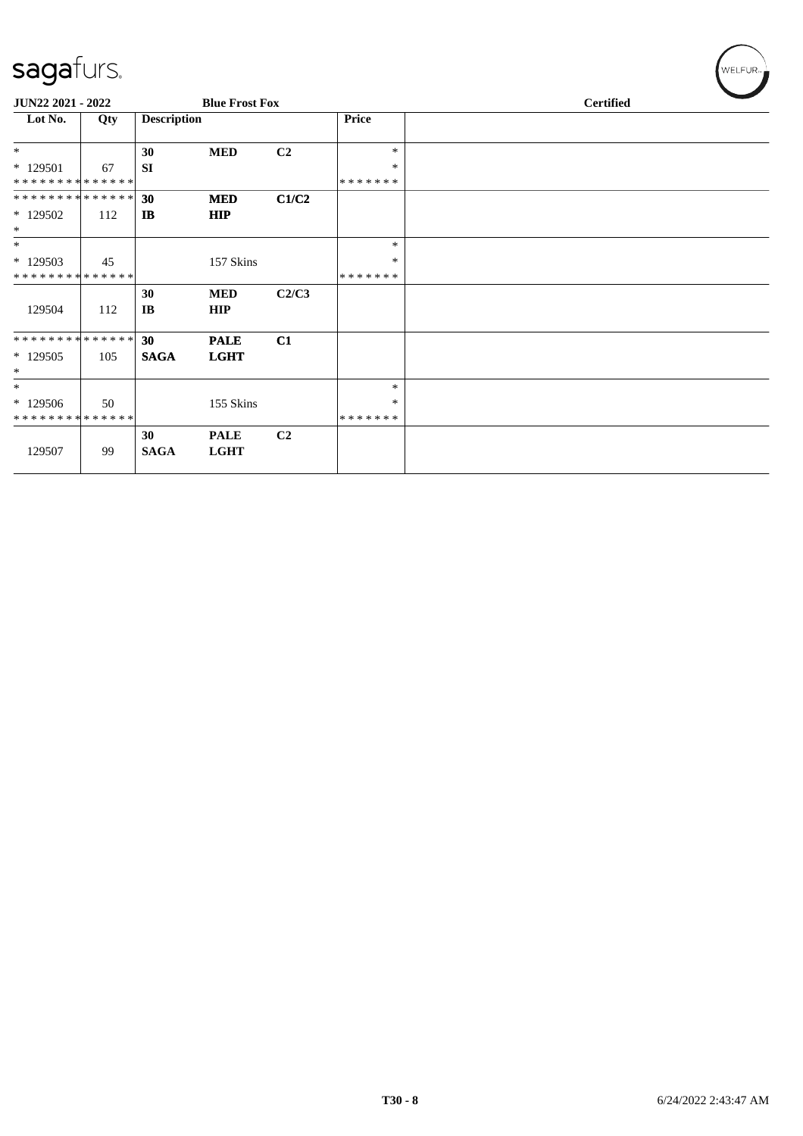| $\overline{\phantom{0}}$    |     |                        |                       |                |              |  |                  |  |
|-----------------------------|-----|------------------------|-----------------------|----------------|--------------|--|------------------|--|
| JUN22 2021 - 2022           |     |                        | <b>Blue Frost Fox</b> |                |              |  | <b>Certified</b> |  |
| Lot No.                     | Qty | <b>Description</b>     |                       |                | <b>Price</b> |  |                  |  |
| $\ast$                      |     | 30                     | <b>MED</b>            | C2             | $\ast$       |  |                  |  |
| $*129501$                   | 67  | <b>SI</b>              |                       |                | $\ast$       |  |                  |  |
| **************              |     |                        |                       |                | *******      |  |                  |  |
| **************              |     | 30                     | <b>MED</b>            | C1/C2          |              |  |                  |  |
| * 129502                    | 112 | IB                     | HIP                   |                |              |  |                  |  |
| $\ast$                      |     |                        |                       |                |              |  |                  |  |
| $\ast$                      |     |                        |                       |                | $\ast$       |  |                  |  |
| $*129503$                   | 45  |                        | 157 Skins             |                | $\ast$       |  |                  |  |
| * * * * * * * * * * * * * * |     |                        |                       |                | *******      |  |                  |  |
|                             |     | 30                     | <b>MED</b>            | C2/C3          |              |  |                  |  |
| 129504                      | 112 | $\mathbf{I}\mathbf{B}$ | HIP                   |                |              |  |                  |  |
| **************              |     | 30                     | <b>PALE</b>           | C1             |              |  |                  |  |
| $*129505$<br>$\ast$         | 105 | <b>SAGA</b>            | <b>LGHT</b>           |                |              |  |                  |  |
| $*$                         |     |                        |                       |                | $\ast$       |  |                  |  |
|                             |     |                        |                       |                |              |  |                  |  |
| $*129506$                   | 50  |                        | 155 Skins             |                | ∗            |  |                  |  |
| **************              |     |                        |                       |                | *******      |  |                  |  |
|                             |     | 30                     | <b>PALE</b>           | C <sub>2</sub> |              |  |                  |  |
| 129507                      | 99  | <b>SAGA</b>            | <b>LGHT</b>           |                |              |  |                  |  |

 $(w$ ELFUR<sub><sup>n</sub></sub></sub></sup>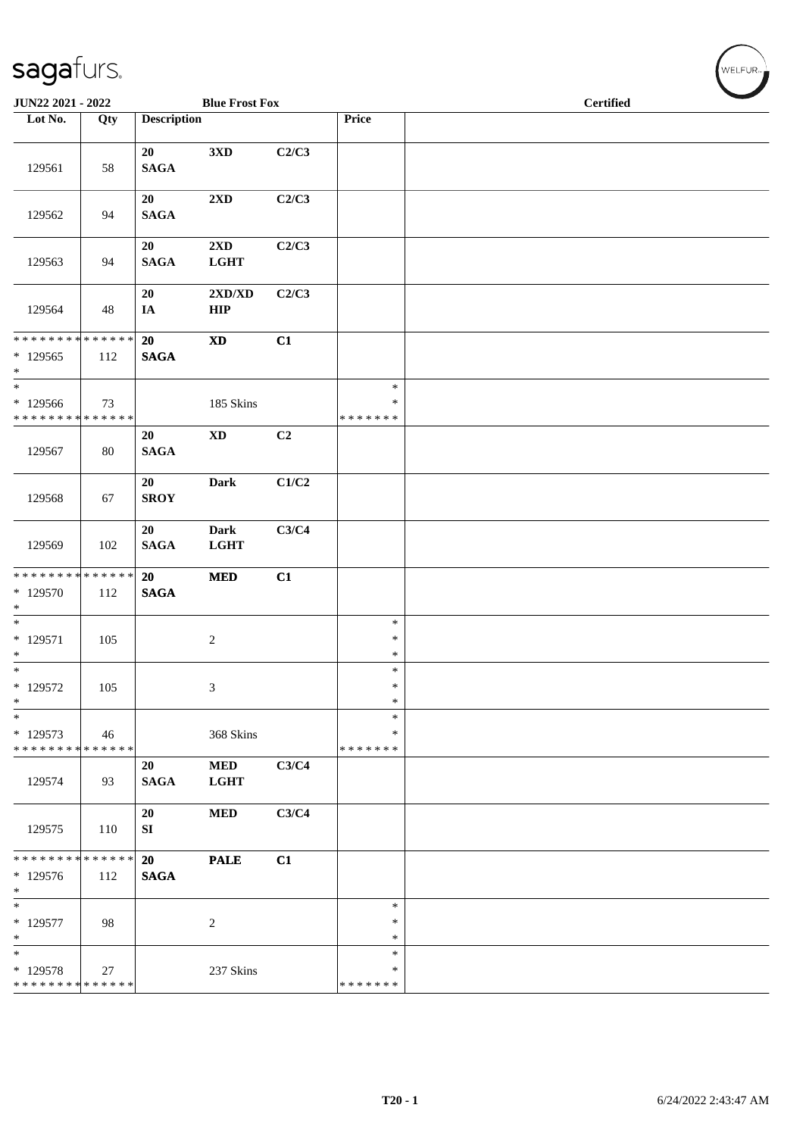| JUN22 2021 - 2022                                              |                    |                       | <b>Blue Frost Fox</b>                  |       |                              |  | <b>Certified</b> |  |
|----------------------------------------------------------------|--------------------|-----------------------|----------------------------------------|-------|------------------------------|--|------------------|--|
| Lot No.                                                        | Qty                | <b>Description</b>    |                                        |       | Price                        |  |                  |  |
| 129561                                                         | 58                 | 20<br>$\mathbf{SAGA}$ | 3 <sub>xD</sub>                        | C2/C3 |                              |  |                  |  |
| 129562                                                         | 94                 | 20<br><b>SAGA</b>     | $2{\bf X}{\bf D}$                      | C2/C3 |                              |  |                  |  |
| 129563                                                         | 94                 | 20<br><b>SAGA</b>     | $2\mathbf{X}\mathbf{D}$<br><b>LGHT</b> | C2/C3 |                              |  |                  |  |
| 129564                                                         | 48                 | 20<br>IA              | 2XD/XD<br>HIP                          | C2/C3 |                              |  |                  |  |
| * * * * * * * * <mark>* * * * * * *</mark><br>$*129565$<br>$*$ | 112                | 20<br><b>SAGA</b>     | $\mathbf{X}\mathbf{D}$                 | C1    |                              |  |                  |  |
| $\ast$<br>* 129566<br>******** <mark>******</mark>             | 73                 |                       | 185 Skins                              |       | $\ast$<br>∗<br>* * * * * * * |  |                  |  |
| 129567                                                         | 80                 | 20<br>$\mathbf{SAGA}$ | $\mathbf{X}\mathbf{D}$                 | C2    |                              |  |                  |  |
| 129568                                                         | 67                 | 20<br><b>SROY</b>     | Dark                                   | C1/C2 |                              |  |                  |  |
| 129569                                                         | 102                | 20<br><b>SAGA</b>     | Dark<br><b>LGHT</b>                    | C3/C4 |                              |  |                  |  |
| ******** <mark>******</mark><br>* 129570<br>$\ast$             | 112                | 20<br><b>SAGA</b>     | $\bf MED$                              | C1    |                              |  |                  |  |
| $\ast$<br>$* 129571$<br>$\ast$                                 | 105                |                       | $\overline{c}$                         |       | $\ast$<br>$\ast$<br>$\ast$   |  |                  |  |
| $*$ 129572<br>$\ast$                                           | 105                |                       | 3                                      |       | $\ast$<br>$\ast$<br>$\ast$   |  |                  |  |
| $\ast$<br>* 129573<br>* * * * * * * * * * * * * *              | 46                 |                       | 368 Skins                              |       | $\ast$<br>∗<br>* * * * * * * |  |                  |  |
| 129574                                                         | 93                 | 20<br><b>SAGA</b>     | $\bf MED$<br><b>LGHT</b>               | C3/C4 |                              |  |                  |  |
| 129575                                                         | 110                | 20<br>SI              | <b>MED</b>                             | C3/C4 |                              |  |                  |  |
| * * * * * * * *<br>* 129576<br>$\ast$                          | * * * * * *<br>112 | 20<br><b>SAGA</b>     | <b>PALE</b>                            | C1    |                              |  |                  |  |
| $\ast$<br>$* 129577$<br>$\ast$                                 | 98                 |                       | $\overline{c}$                         |       | $\ast$<br>$\ast$<br>$\ast$   |  |                  |  |
| $\ast$<br>* 129578<br>* * * * * * * * * * * * * *              | 27                 |                       | 237 Skins                              |       | $\ast$<br>∗<br>* * * * * * * |  |                  |  |

 $(\forall ELFUR_{\approx})$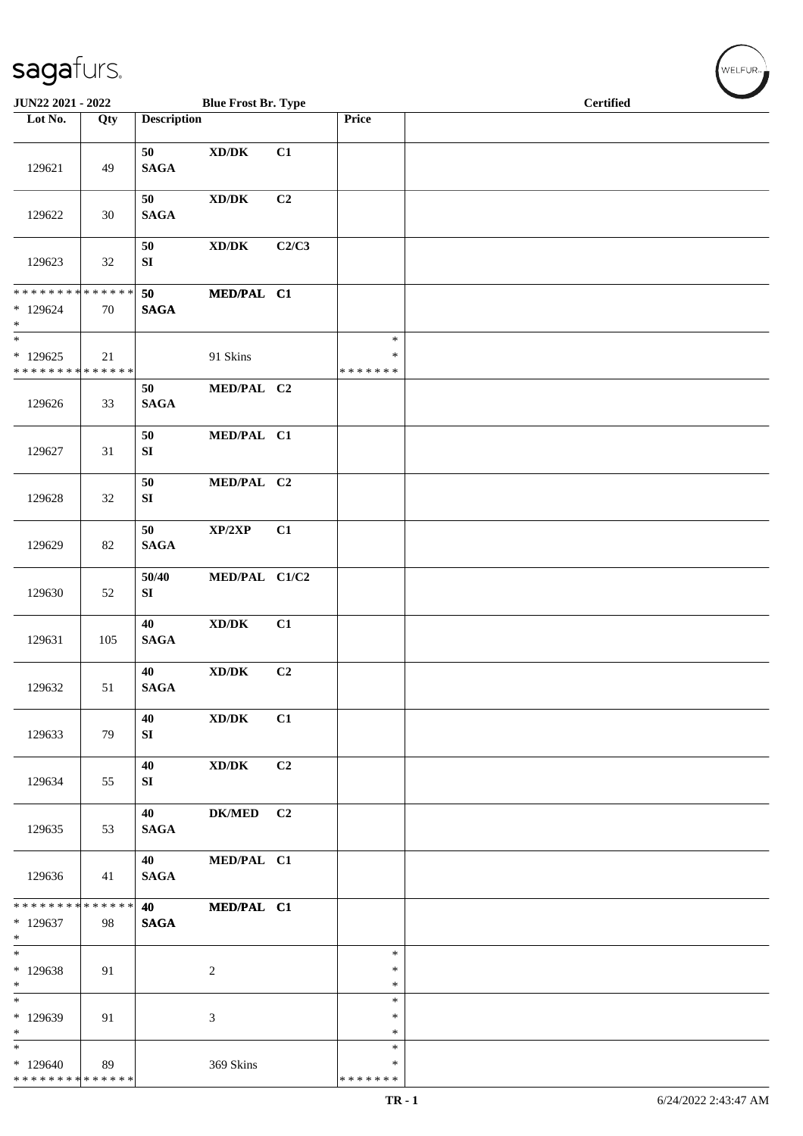| JUN22 2021 - 2022                                  |     |                            | <b>Blue Frost Br. Type</b>                                       |                |                                   | <b>Certified</b> |
|----------------------------------------------------|-----|----------------------------|------------------------------------------------------------------|----------------|-----------------------------------|------------------|
| Lot No.                                            | Qty | <b>Description</b>         |                                                                  |                | Price                             |                  |
| 129621                                             | 49  | 50<br>$\mathbf{SAGA}$      | $\bold{X}\bold{D}/\bold{D}\bold{K}$                              | C1             |                                   |                  |
| 129622                                             | 30  | 50<br>$\mathbf{SAGA}$      | $\bold{X}\bold{D}/\bold{D}\bold{K}$                              | C2             |                                   |                  |
| 129623                                             | 32  | 50<br>${\bf SI}$           | $\boldsymbol{\text{XD}/\text{DK}}$                               | C2/C3          |                                   |                  |
| ******** <mark>******</mark><br>* 129624<br>$\ast$ | 70  | 50<br><b>SAGA</b>          | MED/PAL C1                                                       |                |                                   |                  |
| $\ast$<br>$*129625$<br>* * * * * * * * * * * * * * | 21  |                            | 91 Skins                                                         |                | $\ast$<br>$\ast$<br>* * * * * * * |                  |
| 129626                                             | 33  | 50<br><b>SAGA</b>          | MED/PAL C2                                                       |                |                                   |                  |
| 129627                                             | 31  | $50\,$<br>${\bf S}{\bf I}$ | MED/PAL C1                                                       |                |                                   |                  |
| 129628                                             | 32  | 50<br>${\bf SI}$           | MED/PAL C2                                                       |                |                                   |                  |
| 129629                                             | 82  | 50<br>$\mathbf{SAGA}$      | $\mathbf{XP}/2\mathbf{XP}$                                       | C1             |                                   |                  |
| 129630                                             | 52  | 50/40<br>SI                | MED/PAL C1/C2                                                    |                |                                   |                  |
| 129631                                             | 105 | 40<br>$\mathbf{SAGA}$      | $\bold{X}\bold{D}/\bold{D}\bold{K}$                              | C1             |                                   |                  |
| 129632                                             | 51  | 40<br><b>SAGA</b>          | $\bold{X}\bold{D}/\bold{D}\bold{K}$                              | C2             |                                   |                  |
| 129633                                             | 79  | 40<br>SI                   | XD/DK                                                            | C1             |                                   |                  |
| 129634                                             | 55  | 40<br>SI                   | $\boldsymbol{\mathrm{XD}}\boldsymbol{/}\boldsymbol{\mathrm{DK}}$ | C <sub>2</sub> |                                   |                  |
| 129635                                             | 53  | 40<br><b>SAGA</b>          | DK/MED C2                                                        |                |                                   |                  |
| 129636                                             | 41  | 40<br><b>SAGA</b>          | MED/PAL C1                                                       |                |                                   |                  |
| ******** <mark>******</mark><br>* 129637<br>$*$    | 98  | 40 - 10<br><b>SAGA</b>     | MED/PAL C1                                                       |                |                                   |                  |
| $*$<br>* 129638<br>$*$                             | 91  |                            | $\overline{c}$                                                   |                | $\ast$<br>$\ast$<br>$\ast$        |                  |
| $\overline{\phantom{0}}$<br>* 129639<br>$*$        | 91  |                            | 3                                                                |                | $\ast$<br>∗<br>$\ast$             |                  |
| $*$<br>* 129640<br>* * * * * * * * * * * * * *     | 89  |                            | 369 Skins                                                        |                | $\ast$<br>$\ast$<br>* * * * * * * |                  |

 $\left(\bigvee_{w \in \text{LFUR}_w}$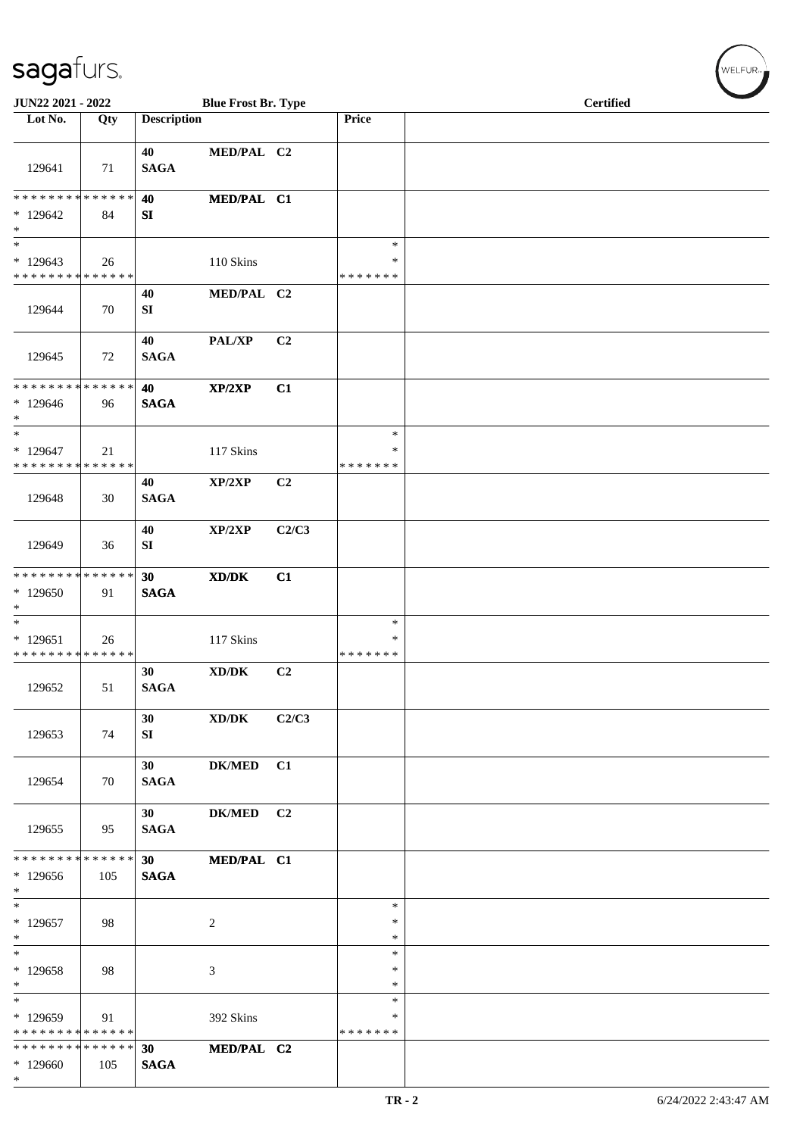| $\tilde{\phantom{a}}$                              |     |                                |                                                          |       |                              | <b>Certified</b> |
|----------------------------------------------------|-----|--------------------------------|----------------------------------------------------------|-------|------------------------------|------------------|
| JUN22 2021 - 2022<br>Lot No.                       | Qty | <b>Description</b>             | <b>Blue Frost Br. Type</b>                               |       | Price                        |                  |
|                                                    |     |                                |                                                          |       |                              |                  |
| 129641                                             | 71  | 40<br><b>SAGA</b>              | MED/PAL C2                                               |       |                              |                  |
| * * * * * * * * * * * * * *                        |     | 40                             | MED/PAL C1                                               |       |                              |                  |
| $*129642$<br>$\ast$                                | 84  | SI                             |                                                          |       |                              |                  |
| $\overline{\phantom{0}}$                           |     |                                |                                                          |       | $\ast$                       |                  |
| $*129643$<br>* * * * * * * * * * * * * *           | 26  |                                | 110 Skins                                                |       | $\ast$<br>* * * * * * *      |                  |
| 129644                                             | 70  | 40<br>SI                       | MED/PAL C2                                               |       |                              |                  |
| 129645                                             | 72  | 40<br><b>SAGA</b>              | <b>PAL/XP</b>                                            | C2    |                              |                  |
| **************<br>$*129646$<br>$\ast$              | 96  | 40<br><b>SAGA</b>              | XP/2XP                                                   | C1    |                              |                  |
| $\ast$<br>$*129647$<br>* * * * * * * * * * * * * * | 21  |                                | 117 Skins                                                |       | $\ast$<br>*<br>* * * * * * * |                  |
| 129648                                             | 30  | 40<br><b>SAGA</b>              | XP/2XP                                                   | C2    |                              |                  |
| 129649                                             | 36  | 40<br>SI                       | XP/2XP                                                   | C2/C3 |                              |                  |
| ******** <mark>******</mark>                       |     | 30                             | XD/DK                                                    | C1    |                              |                  |
| $*129650$<br>$\ast$                                | 91  | <b>SAGA</b>                    |                                                          |       |                              |                  |
| $\ast$<br>$*129651$<br>**************              | 26  |                                | 117 Skins                                                |       | $\ast$<br>*<br>* * * * * * * |                  |
| 129652                                             | 51  | 30<br>$\mathbf{SAGA}$          | XD/DK                                                    | C2    |                              |                  |
| 129653                                             | 74  | 30 <sup>1</sup><br>SI          | $\boldsymbol{\text{XD}}\mathsf{/}\boldsymbol{\text{DK}}$ | C2/C3 |                              |                  |
| 129654                                             | 70  | 30 <sup>1</sup><br><b>SAGA</b> | DK/MED C1                                                |       |                              |                  |
| 129655                                             | 95  | 30 <sup>1</sup><br><b>SAGA</b> | DK/MED C2                                                |       |                              |                  |
| * * * * * * * * * * * * * * *                      |     | 30                             | MED/PAL C1                                               |       |                              |                  |
| $*129656$<br>$*$                                   | 105 | <b>SAGA</b>                    |                                                          |       |                              |                  |
| $\ast$<br>$*129657$<br>$*$                         | 98  |                                | $\overline{c}$                                           |       | $\ast$<br>$\ast$<br>$\ast$   |                  |
| $\ast$<br>$*129658$                                | 98  |                                | $\mathfrak{Z}$                                           |       | $\ast$<br>$\ast$             |                  |
| $*$                                                |     |                                |                                                          |       | $\ast$                       |                  |
| $\ast$<br>* 129659                                 | 91  |                                | 392 Skins                                                |       | $\ast$<br>*                  |                  |
| * * * * * * * * * * * * * *                        |     |                                |                                                          |       | * * * * * * *                |                  |
| * * * * * * * * * * * * * * *<br>$*129660$         | 105 | 30<br><b>SAGA</b>              | MED/PAL C2                                               |       |                              |                  |
| $*$                                                |     |                                |                                                          |       |                              |                  |

WELFUR<sub>T</sub>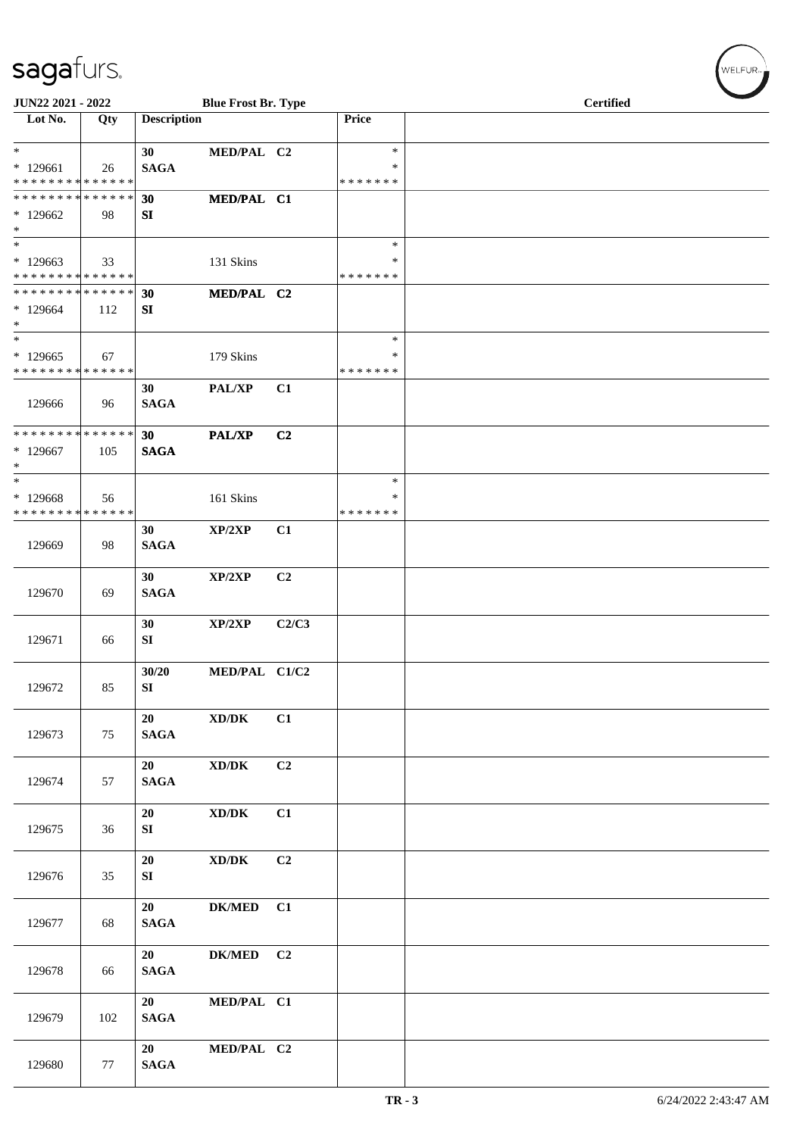| JUN22 2021 - 2022                                            |     |                    | <b>Blue Frost Br. Type</b>          |                |                         |  |                  |  |
|--------------------------------------------------------------|-----|--------------------|-------------------------------------|----------------|-------------------------|--|------------------|--|
| $\overline{\text{Lot No.}}$                                  | Qty | <b>Description</b> |                                     |                | Price                   |  | <b>Certified</b> |  |
| $*$                                                          |     | 30 <sup>°</sup>    | MED/PAL C2                          |                | $\ast$                  |  |                  |  |
| $*129661$                                                    | 26  | <b>SAGA</b>        |                                     |                | $\ast$                  |  |                  |  |
| * * * * * * * * * * * * * *<br>* * * * * * * * * * * * * * * |     |                    |                                     |                | * * * * * * *           |  |                  |  |
| $*129662$                                                    | 98  | 30<br>SI           | MED/PAL C1                          |                |                         |  |                  |  |
| $*$                                                          |     |                    |                                     |                |                         |  |                  |  |
| $*$                                                          |     |                    |                                     |                | $\ast$                  |  |                  |  |
| $*129663$<br>* * * * * * * * * * * * * * *                   | 33  |                    | 131 Skins                           |                | $\ast$<br>* * * * * * * |  |                  |  |
| * * * * * * * * * * * * * * *                                |     | 30                 | MED/PAL C2                          |                |                         |  |                  |  |
| * 129664                                                     | 112 | SI                 |                                     |                |                         |  |                  |  |
| $*$<br>$\overline{\ast}$                                     |     |                    |                                     |                | $\ast$                  |  |                  |  |
| $*129665$                                                    | 67  |                    | 179 Skins                           |                | ∗                       |  |                  |  |
| * * * * * * * * * * * * * *                                  |     |                    |                                     |                | * * * * * * *           |  |                  |  |
|                                                              |     | 30                 | PAL/XP                              | C1             |                         |  |                  |  |
| 129666                                                       | 96  | <b>SAGA</b>        |                                     |                |                         |  |                  |  |
| * * * * * * * * * * * * * * *                                |     | 30                 | <b>PAL/XP</b>                       | C <sub>2</sub> |                         |  |                  |  |
| * 129667                                                     | 105 | <b>SAGA</b>        |                                     |                |                         |  |                  |  |
| $*$<br>$\ast$                                                |     |                    |                                     |                | $\ast$                  |  |                  |  |
| * 129668                                                     | 56  |                    | 161 Skins                           |                | ∗                       |  |                  |  |
| * * * * * * * * * * * * * *                                  |     |                    |                                     |                | * * * * * * *           |  |                  |  |
|                                                              |     | 30                 | XP/2XP                              | C1             |                         |  |                  |  |
| 129669                                                       | 98  | <b>SAGA</b>        |                                     |                |                         |  |                  |  |
|                                                              |     | 30                 | XP/2XP                              | C <sub>2</sub> |                         |  |                  |  |
| 129670                                                       | 69  | <b>SAGA</b>        |                                     |                |                         |  |                  |  |
|                                                              |     | 30                 | XP/2XP                              | C2/C3          |                         |  |                  |  |
| 129671                                                       | 66  | SI                 |                                     |                |                         |  |                  |  |
|                                                              |     |                    |                                     |                |                         |  |                  |  |
|                                                              |     | 30/20              | MED/PAL C1/C2                       |                |                         |  |                  |  |
| 129672                                                       | 85  | SI                 |                                     |                |                         |  |                  |  |
|                                                              |     | 20                 | $\bold{X}\bold{D}/\bold{D}\bold{K}$ | C1             |                         |  |                  |  |
| 129673                                                       | 75  | $\mathbf{SAGA}$    |                                     |                |                         |  |                  |  |
|                                                              |     | 20                 | XD/DK                               | C2             |                         |  |                  |  |
| 129674                                                       | 57  | $\mathbf{SAGA}$    |                                     |                |                         |  |                  |  |
|                                                              |     |                    |                                     |                |                         |  |                  |  |
| 129675                                                       | 36  | 20<br>SI           | $\bold{X}\bold{D}/\bold{D}\bold{K}$ | C1             |                         |  |                  |  |
|                                                              |     |                    |                                     |                |                         |  |                  |  |
|                                                              |     | 20                 | $\bold{X}\bold{D}/\bold{D}\bold{K}$ | C2             |                         |  |                  |  |
| 129676                                                       | 35  | SI                 |                                     |                |                         |  |                  |  |
|                                                              |     | 20                 | <b>DK/MED</b>                       | C1             |                         |  |                  |  |
| 129677                                                       | 68  | <b>SAGA</b>        |                                     |                |                         |  |                  |  |
|                                                              |     |                    |                                     |                |                         |  |                  |  |
| 129678                                                       | 66  | 20<br><b>SAGA</b>  | <b>DK/MED</b>                       | C <sub>2</sub> |                         |  |                  |  |
|                                                              |     |                    |                                     |                |                         |  |                  |  |
|                                                              |     | 20                 | MED/PAL C1                          |                |                         |  |                  |  |
| 129679                                                       | 102 | <b>SAGA</b>        |                                     |                |                         |  |                  |  |
|                                                              |     | 20                 | MED/PAL C2                          |                |                         |  |                  |  |
| 129680                                                       | 77  | <b>SAGA</b>        |                                     |                |                         |  |                  |  |

WELFUR<sub><sup>N</sup></sub>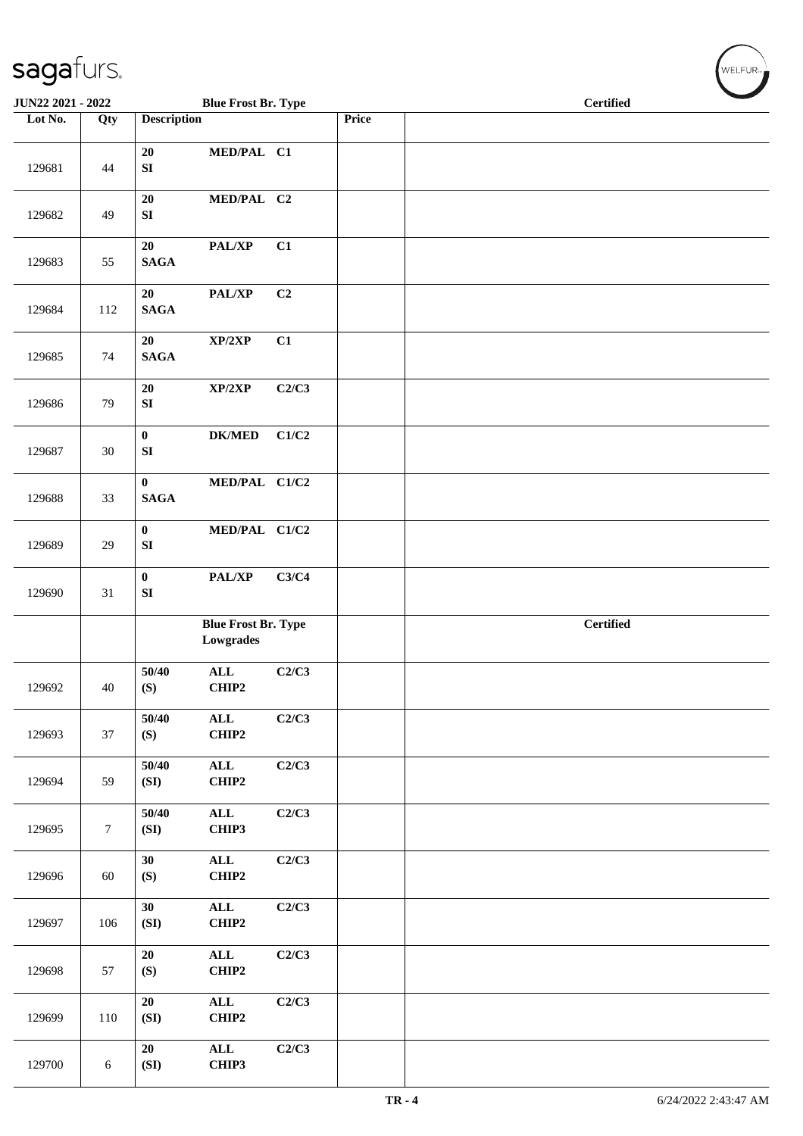| JUN22 2021 - 2022 |        |                                  | <b>Blue Frost Br. Type</b>              |       |       | <b>Certified</b> |
|-------------------|--------|----------------------------------|-----------------------------------------|-------|-------|------------------|
| Lot No.           | Qty    | <b>Description</b>               |                                         |       | Price |                  |
| 129681            | 44     | 20<br>${\bf S}{\bf I}$           | MED/PAL C1                              |       |       |                  |
| 129682            | 49     | 20<br>${\bf S}{\bf I}$           | MED/PAL C2                              |       |       |                  |
| 129683            | 55     | 20<br><b>SAGA</b>                | PAL/XP                                  | C1    |       |                  |
| 129684            | 112    | 20<br><b>SAGA</b>                | PAL/XP                                  | C2    |       |                  |
| 129685            | 74     | 20<br><b>SAGA</b>                | XP/2XP                                  | C1    |       |                  |
| 129686            | 79     | 20<br>${\bf S}{\bf I}$           | XP/2XP                                  | C2/C3 |       |                  |
| 129687            | 30     | $\mathbf{0}$<br>${\bf S}{\bf I}$ | <b>DK/MED</b>                           | C1/C2 |       |                  |
| 129688            | 33     | $\bf{0}$<br>$\mathbf{SAGA}$      | MED/PAL C1/C2                           |       |       |                  |
| 129689            | 29     | $\pmb{0}$<br>${\bf SI}$          | MED/PAL C1/C2                           |       |       |                  |
| 129690            | 31     | $\mathbf{0}$<br>SI               | $\mathbf{PAL}/\mathbf{XP}$              | C3/C4 |       |                  |
|                   |        |                                  | <b>Blue Frost Br. Type</b><br>Lowgrades |       |       | <b>Certified</b> |
| 129692            | 40     | 50/40<br>(S)                     | $\mathbf{ALL}$<br>CHIP2                 | C2/C3 |       |                  |
| 129693            | 37     | 50/40<br>(S)                     | ALL<br>CHIP2                            | C2/C3 |       |                  |
| 129694            | 59     | 50/40<br>(SI)                    | $\mathbf{ALL}$<br>CHIP2                 | C2/C3 |       |                  |
| 129695            | $\tau$ | 50/40<br>(SI)                    | $\mathbf{ALL}$<br>CHIP3                 | C2/C3 |       |                  |
| 129696            | 60     | 30<br>(S)                        | $\mathbf{ALL}$<br>CHIP2                 | C2/C3 |       |                  |
| 129697            | 106    | 30<br>(SI)                       | $\mathbf{ALL}$<br>CHIP2                 | C2/C3 |       |                  |
| 129698            | 57     | 20<br>(S)                        | $\mathbf{ALL}$<br>CHIP2                 | C2/C3 |       |                  |
| 129699            | 110    | 20<br>(SI)                       | $\mathbf{ALL}$<br>CHIP2                 | C2/C3 |       |                  |
| 129700            | 6      | 20<br>(SI)                       | $\mathbf{ALL}$<br>CHIP3                 | C2/C3 |       |                  |

 $(w$ elfur<sub>»</sub>